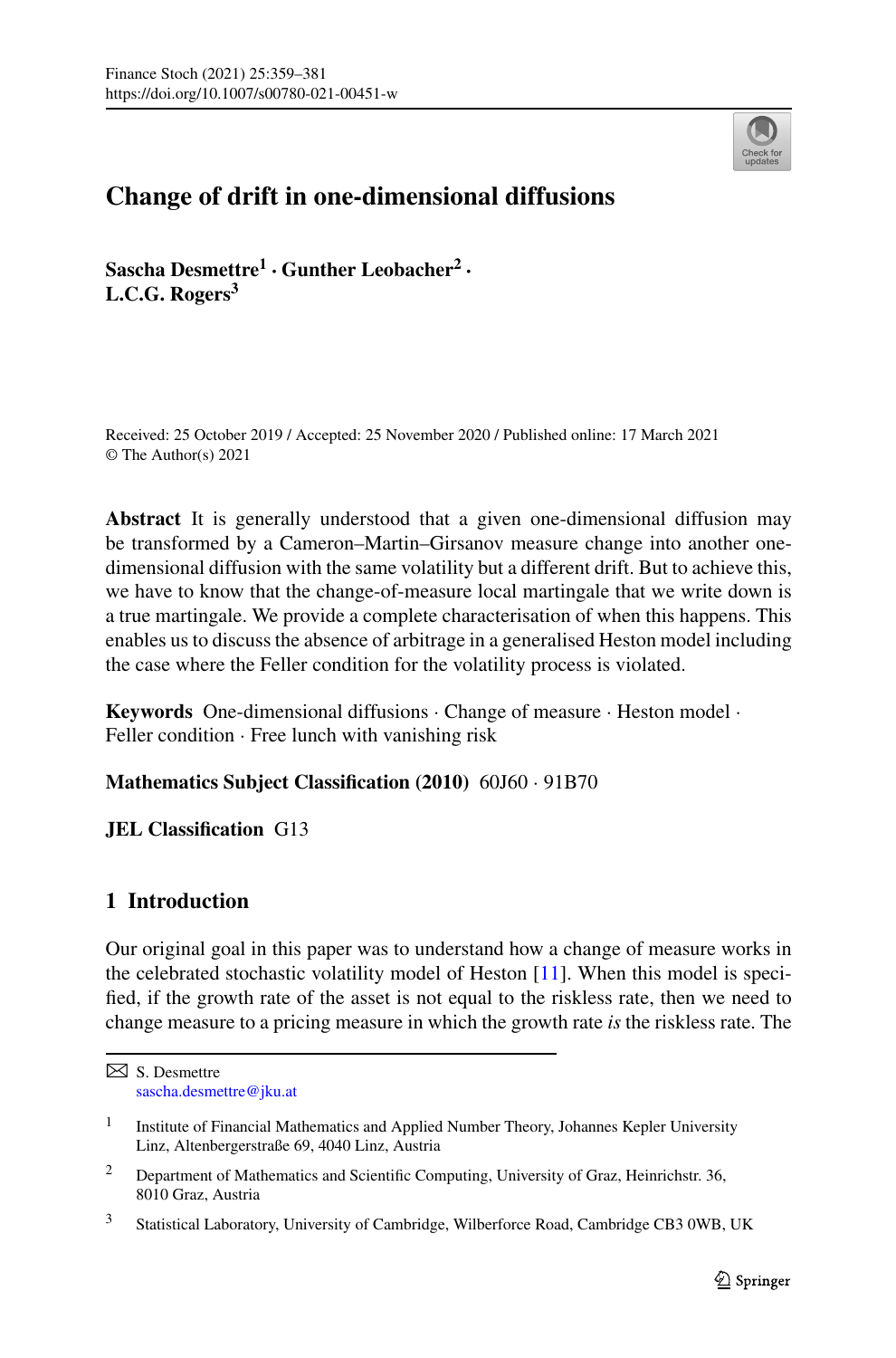

# **Change of drift in one-dimensional diffusions**

**Sascha Desmettre<sup>1</sup> · Gunther Leobacher2 · L.C.G. Rogers3**

Received: 25 October 2019 / Accepted: 25 November 2020 / Published online: 17 March 2021 © The Author(s) 2021

**Abstract** It is generally understood that a given one-dimensional diffusion may be transformed by a Cameron–Martin–Girsanov measure change into another onedimensional diffusion with the same volatility but a different drift. But to achieve this, we have to know that the change-of-measure local martingale that we write down is a true martingale. We provide a complete characterisation of when this happens. This enables us to discuss the absence of arbitrage in a generalised Heston model including the case where the Feller condition for the volatility process is violated.

**Keywords** One-dimensional diffusions · Change of measure · Heston model · Feller condition · Free lunch with vanishing risk

**Mathematics Subject Classification (2010)** 60J60 · 91B70

**JEL Classification** G13

# **1 Introduction**

Our original goal in this paper was to understand how a change of measure works in the celebrated stochastic volatility model of Heston [[11\]](#page-21-0). When this model is specified, if the growth rate of the asset is not equal to the riskless rate, then we need to change measure to a pricing measure in which the growth rate *is* the riskless rate. The

S. Desmettre [sascha.desmettre@jku.at](mailto:sascha.desmettre@jku.at)

<sup>&</sup>lt;sup>1</sup> Institute of Financial Mathematics and Applied Number Theory, Johannes Kepler University Linz, Altenbergerstraße 69, 4040 Linz, Austria

<sup>&</sup>lt;sup>2</sup> Department of Mathematics and Scientific Computing, University of Graz, Heinrichstr. 36, 8010 Graz, Austria

 $\mathbf{3}$ <sup>3</sup> Statistical Laboratory, University of Cambridge, Wilberforce Road, Cambridge CB3 0WB, UK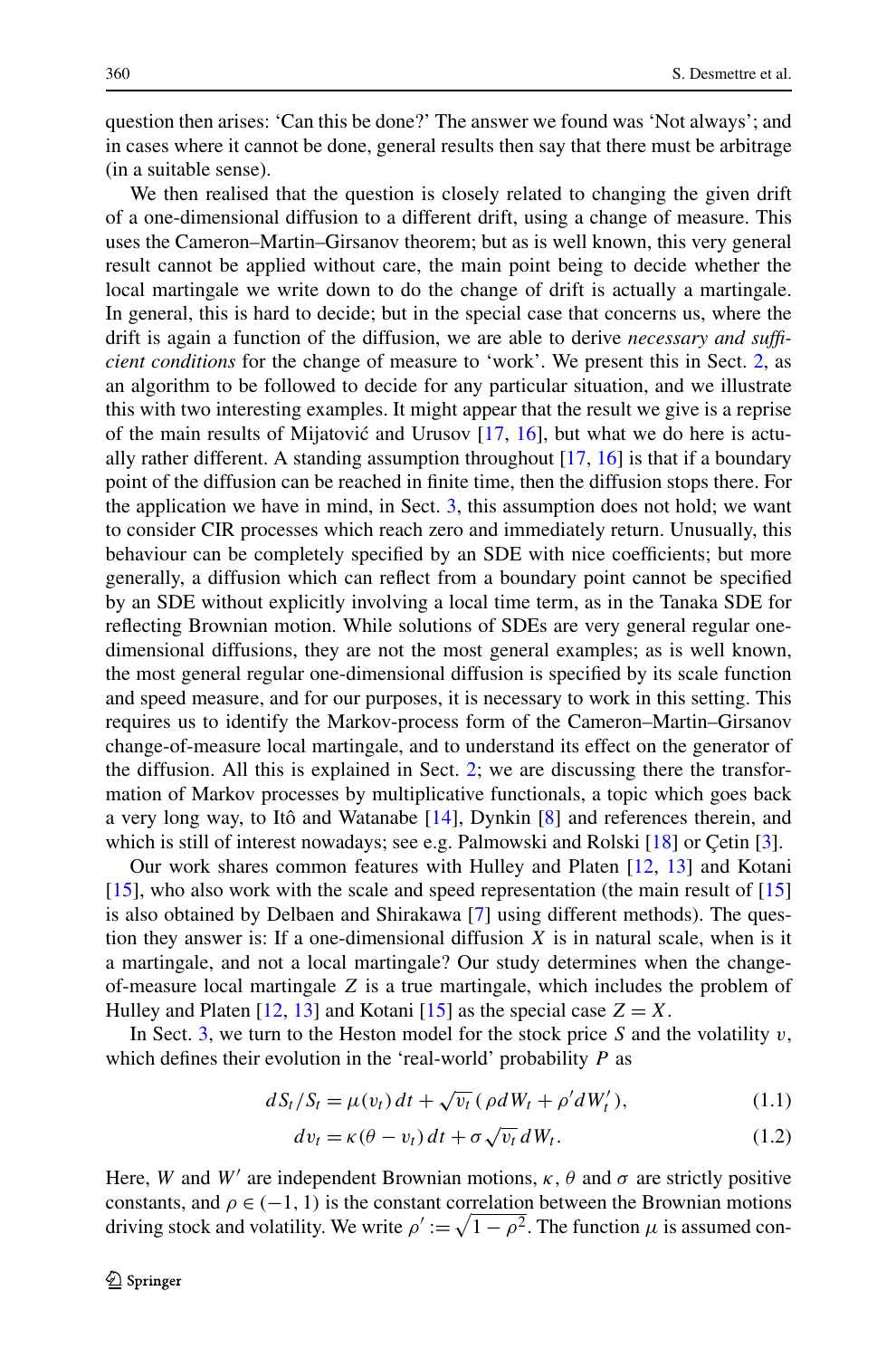<span id="page-1-0"></span>question then arises: 'Can this be done?' The answer we found was 'Not always'; and in cases where it cannot be done, general results then say that there must be arbitrage (in a suitable sense).

We then realised that the question is closely related to changing the given drift of a one-dimensional diffusion to a different drift, using a change of measure. This uses the Cameron–Martin–Girsanov theorem; but as is well known, this very general result cannot be applied without care, the main point being to decide whether the local martingale we write down to do the change of drift is actually a martingale. In general, this is hard to decide; but in the special case that concerns us, where the drift is again a function of the diffusion, we are able to derive *necessary and sufficient conditions* for the change of measure to 'work'. We present this in Sect. [2,](#page-2-0) as an algorithm to be followed to decide for any particular situation, and we illustrate this with two interesting examples. It might appear that the result we give is a reprise of the main results of Mijatović and Urusov  $[17, 16]$  $[17, 16]$  $[17, 16]$  $[17, 16]$  $[17, 16]$ , but what we do here is actually rather different. A standing assumption throughout [[17,](#page-21-0) [16\]](#page-21-0) is that if a boundary point of the diffusion can be reached in finite time, then the diffusion stops there. For the application we have in mind, in Sect. [3](#page-13-0), this assumption does not hold; we want to consider CIR processes which reach zero and immediately return. Unusually, this behaviour can be completely specified by an SDE with nice coefficients; but more generally, a diffusion which can reflect from a boundary point cannot be specified by an SDE without explicitly involving a local time term, as in the Tanaka SDE for reflecting Brownian motion. While solutions of SDEs are very general regular onedimensional diffusions, they are not the most general examples; as is well known, the most general regular one-dimensional diffusion is specified by its scale function and speed measure, and for our purposes, it is necessary to work in this setting. This requires us to identify the Markov-process form of the Cameron–Martin–Girsanov change-of-measure local martingale, and to understand its effect on the generator of the diffusion. All this is explained in Sect. [2;](#page-2-0) we are discussing there the transformation of Markov processes by multiplicative functionals, a topic which goes back a very long way, to Itô and Watanabe [[14\]](#page-21-0), Dynkin [\[8](#page-21-0)] and references therein, and which is still of interest nowadays; see e.g. Palmowski and Rolski [[18\]](#page-21-0) or Çetin [[3\]](#page-21-0).

Our work shares common features with Hulley and Platen [[12,](#page-21-0) [13\]](#page-21-0) and Kotani [\[15](#page-21-0)], who also work with the scale and speed representation (the main result of [\[15](#page-21-0)] is also obtained by Delbaen and Shirakawa [[7\]](#page-21-0) using different methods). The question they answer is: If a one-dimensional diffusion *X* is in natural scale, when is it a martingale, and not a local martingale? Our study determines when the changeof-measure local martingale *Z* is a true martingale, which includes the problem of Hulley and Platen  $[12, 13]$  $[12, 13]$  $[12, 13]$  $[12, 13]$  and Kotani  $[15]$  as the special case  $Z = X$ .

In Sect. [3](#page-13-0), we turn to the Heston model for the stock price *S* and the volatility *v*, which defines their evolution in the 'real-world' probability *P* as

$$
dS_t/S_t = \mu(v_t) dt + \sqrt{v_t} (\rho dW_t + \rho' dW'_t), \qquad (1.1)
$$

$$
dv_t = \kappa(\theta - v_t) dt + \sigma \sqrt{v_t} dW_t.
$$
 (1.2)

Here, *W* and *W'* are independent Brownian motions,  $\kappa$ ,  $\theta$  and  $\sigma$  are strictly positive constants, and  $\rho \in (-1, 1)$  is the constant correlation between the Brownian motions driving stock and volatility. We write  $\rho' := \sqrt{1 - \rho^2}$ . The function  $\mu$  is assumed con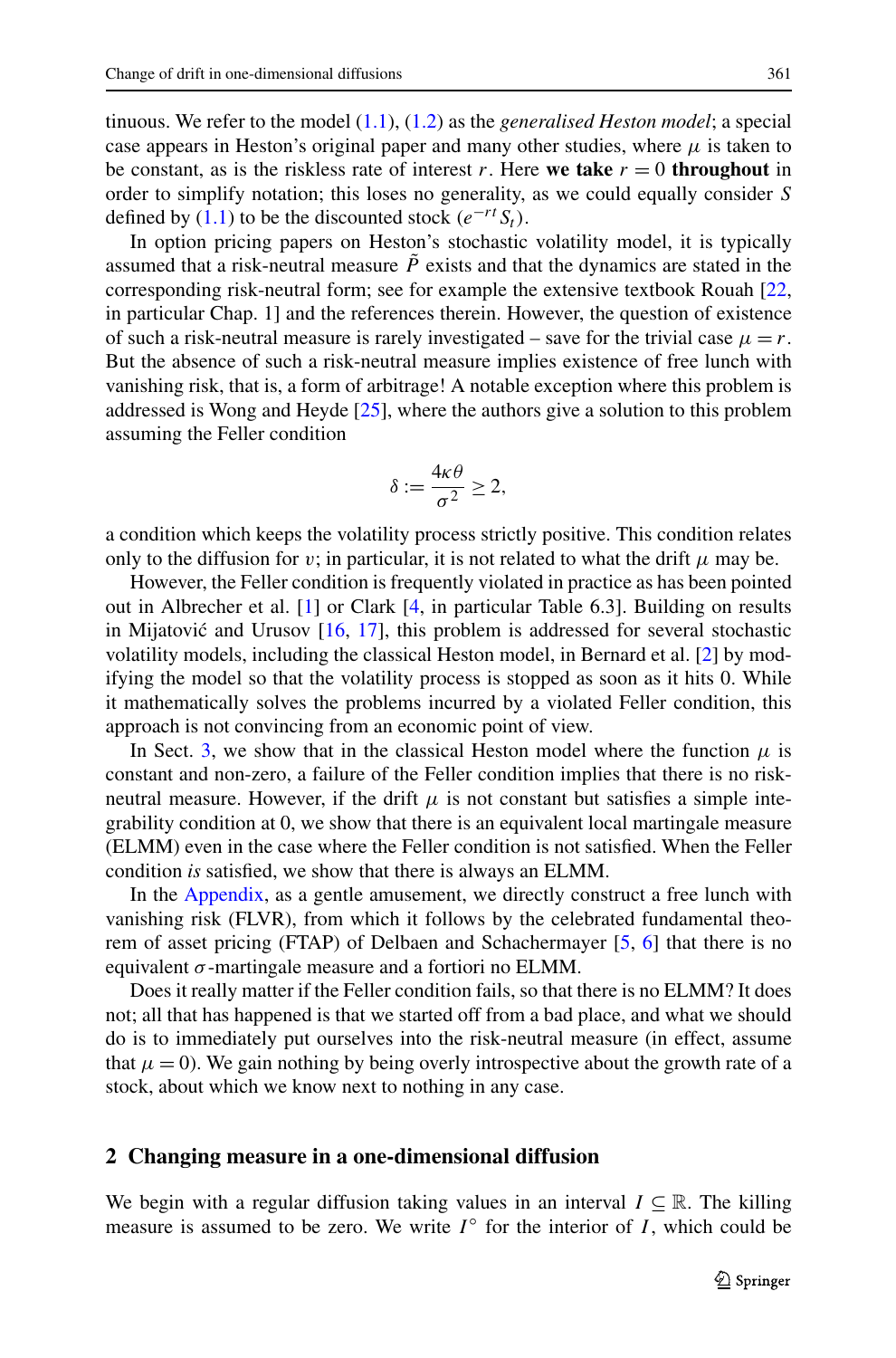<span id="page-2-0"></span>tinuous. We refer to the model ([1.1](#page-1-0)), ([1.2](#page-1-0)) as the *generalised Heston model*; a special case appears in Heston's original paper and many other studies, where  $\mu$  is taken to be constant, as is the riskless rate of interest *r*. Here **we take**  $r = 0$  **throughout** in order to simplify notation; this loses no generality, as we could equally consider *S* defined by  $(1.1)$  to be the discounted stock  $(e^{-rt}S_t)$ .

In option pricing papers on Heston's stochastic volatility model, it is typically assumed that a risk-neutral measure  $\tilde{P}$  exists and that the dynamics are stated in the corresponding risk-neutral form; see for example the extensive textbook Rouah [\[22](#page-22-0), in particular Chap. 1] and the references therein. However, the question of existence of such a risk-neutral measure is rarely investigated – save for the trivial case  $\mu = r$ . But the absence of such a risk-neutral measure implies existence of free lunch with vanishing risk, that is, a form of arbitrage! A notable exception where this problem is addressed is Wong and Heyde [[25\]](#page-22-0), where the authors give a solution to this problem assuming the Feller condition

$$
\delta := \frac{4\kappa\theta}{\sigma^2} \ge 2,
$$

a condition which keeps the volatility process strictly positive. This condition relates only to the diffusion for *v*; in particular, it is not related to what the drift  $\mu$  may be.

However, the Feller condition is frequently violated in practice as has been pointed out in Albrecher et al. [[1\]](#page-21-0) or Clark [[4,](#page-21-0) in particular Table 6.3]. Building on results in Mijatović and Urusov  $[16, 17]$  $[16, 17]$  $[16, 17]$  $[16, 17]$  $[16, 17]$ , this problem is addressed for several stochastic volatility models, including the classical Heston model, in Bernard et al. [\[2](#page-21-0)] by modifying the model so that the volatility process is stopped as soon as it hits 0. While it mathematically solves the problems incurred by a violated Feller condition, this approach is not convincing from an economic point of view.

In Sect. [3,](#page-13-0) we show that in the classical Heston model where the function  $\mu$  is constant and non-zero, a failure of the Feller condition implies that there is no riskneutral measure. However, if the drift  $\mu$  is not constant but satisfies a simple integrability condition at 0, we show that there is an equivalent local martingale measure (ELMM) even in the case where the Feller condition is not satisfied. When the Feller condition *is* satisfied, we show that there is always an ELMM.

In the [Appendix,](#page-17-0) as a gentle amusement, we directly construct a free lunch with vanishing risk (FLVR), from which it follows by the celebrated fundamental theorem of asset pricing (FTAP) of Delbaen and Schachermayer [\[5](#page-21-0), [6](#page-21-0)] that there is no equivalent *σ* -martingale measure and a fortiori no ELMM.

Does it really matter if the Feller condition fails, so that there is no ELMM? It does not; all that has happened is that we started off from a bad place, and what we should do is to immediately put ourselves into the risk-neutral measure (in effect, assume that  $\mu = 0$ ). We gain nothing by being overly introspective about the growth rate of a stock, about which we know next to nothing in any case.

#### **2 Changing measure in a one-dimensional diffusion**

We begin with a regular diffusion taking values in an interval  $I \subseteq \mathbb{R}$ . The killing measure is assumed to be zero. We write  $I^{\circ}$  for the interior of *I*, which could be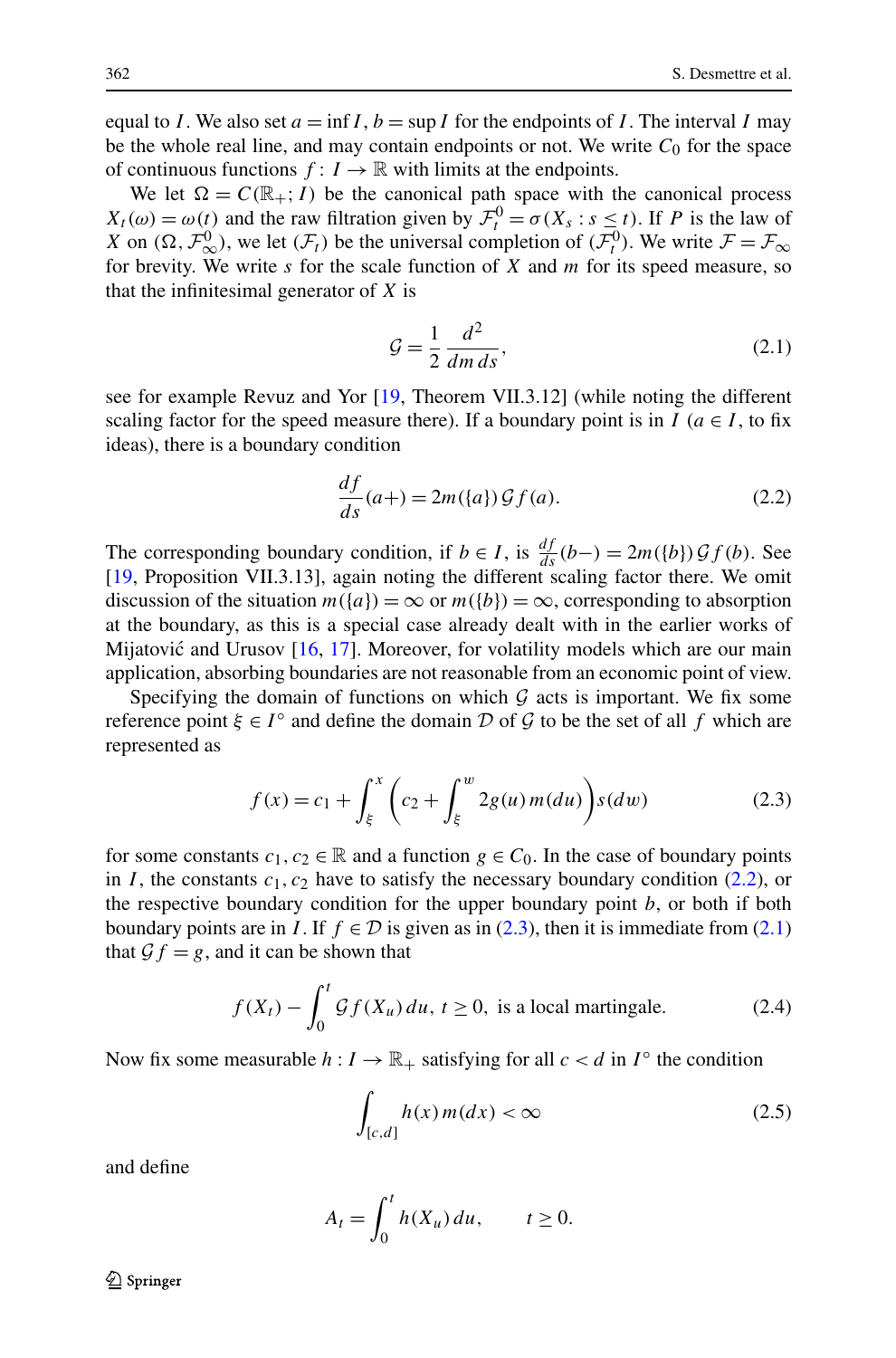<span id="page-3-0"></span>equal to *I*. We also set  $a = \inf I$ ,  $b = \sup I$  for the endpoints of *I*. The interval *I* may be the whole real line, and may contain endpoints or not. We write  $C_0$  for the space of continuous functions  $f: I \to \mathbb{R}$  with limits at the endpoints.

We let  $\Omega = C(\mathbb{R}_+; I)$  be the canonical path space with the canonical process  $X_t(\omega) = \omega(t)$  and the raw filtration given by  $\mathcal{F}_t^0 = \sigma(X_s : s \leq t)$ . If *P* is the law of *X* on  $(\Omega, \mathcal{F}_{\infty}^0)$ , we let  $(\mathcal{F}_t)$  be the universal completion of  $(\mathcal{F}_t^0)$ . We write  $\mathcal{F} = \mathcal{F}_{\infty}$ for brevity. We write *s* for the scale function of *X* and *m* for its speed measure, so that the infinitesimal generator of *X* is

$$
\mathcal{G} = \frac{1}{2} \frac{d^2}{dm \, ds},\tag{2.1}
$$

see for example Revuz and Yor [\[19](#page-21-0), Theorem VII.3.12] (while noting the different scaling factor for the speed measure there). If a boundary point is in *I* ( $a \in I$ , to fix ideas), there is a boundary condition

$$
\frac{df}{ds}(a+) = 2m(\lbrace a \rbrace) \mathcal{G}f(a). \tag{2.2}
$$

The corresponding boundary condition, if  $b \in I$ , is  $\frac{df}{ds}(b-) = 2m(\{b\})\mathcal{G}f(b)$ . See [\[19](#page-21-0), Proposition VII.3.13], again noting the different scaling factor there. We omit discussion of the situation  $m({a}) = \infty$  or  $m({b}) = \infty$ , corresponding to absorption at the boundary, as this is a special case already dealt with in the earlier works of Mijatović and Urusov  $[16, 17]$  $[16, 17]$  $[16, 17]$  $[16, 17]$ . Moreover, for volatility models which are our main application, absorbing boundaries are not reasonable from an economic point of view.

Specifying the domain of functions on which  $G$  acts is important. We fix some reference point  $\xi \in I^{\circ}$  and define the domain D of G to be the set of all f which are represented as

$$
f(x) = c_1 + \int_{\xi}^{x} \left( c_2 + \int_{\xi}^{w} 2g(u) m(du) \right) s(dw)
$$
 (2.3)

for some constants  $c_1, c_2 \in \mathbb{R}$  and a function  $g \in C_0$ . In the case of boundary points in *I*, the constants  $c_1$ ,  $c_2$  have to satisfy the necessary boundary condition (2.2), or the respective boundary condition for the upper boundary point *b*, or both if both boundary points are in *I*. If  $f \in \mathcal{D}$  is given as in (2.3), then it is immediate from (2.1) that  $\mathcal{G}f = g$ , and it can be shown that

$$
f(X_t) - \int_0^t \mathcal{G}f(X_u) \, du, \, t \ge 0, \text{ is a local martingale.} \tag{2.4}
$$

Now fix some measurable  $h: I \to \mathbb{R}_+$  satisfying for all  $c < d$  in  $I^\circ$  the condition

$$
\int_{[c,d]} h(x) m(dx) < \infty \tag{2.5}
$$

and define

$$
A_t = \int_0^t h(X_u) \, du, \qquad t \ge 0.
$$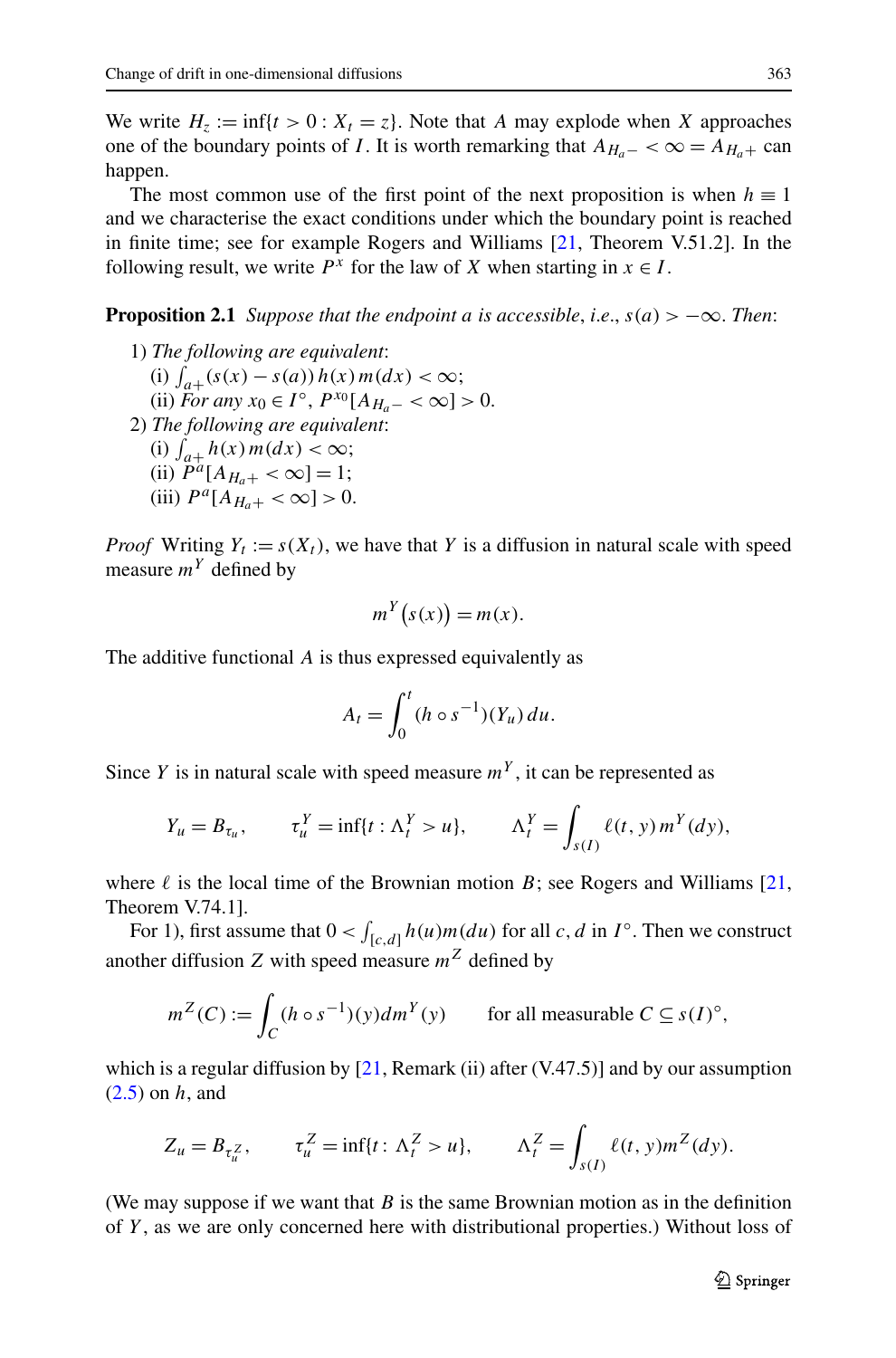<span id="page-4-0"></span>We write  $H_z := \inf\{t > 0 : X_t = z\}$ . Note that *A* may explode when *X* approaches one of the boundary points of *I*. It is worth remarking that  $A_{H_a-} < \infty = A_{H_a+}$  can happen.

The most common use of the first point of the next proposition is when  $h \equiv 1$ and we characterise the exact conditions under which the boundary point is reached in finite time; see for example Rogers and Williams [\[21](#page-22-0), Theorem V.51.2]. In the following result, we write  $P^x$  for the law of X when starting in  $x \in I$ .

**Proposition 2.1** *Suppose that the endpoint a is accessible, i.e.,*  $s(a) > -\infty$ *. Then:* 

1) *The following are equivalent*: (i)  $\int_{a+}$  (s(x) − s(a)) h(x) m(dx) < ∞;  $(iii)$  *For any*  $x_0 \in I^\circ$ ,  $P^{x_0}[A_{H_\circ} - \infty] > 0$ . 2) *The following are equivalent*: (i)  $\int_{a+}^{\infty} h(x) m(dx) < \infty;$ (ii)  $\tilde{P}^a[A_{H_a+} < \infty] = 1;$ (iii)  $P^a[A_{H_a+} < \infty] > 0$ .

*Proof* Writing  $Y_t := s(X_t)$ , we have that *Y* is a diffusion in natural scale with speed measure  $m<sup>Y</sup>$  defined by

$$
m^Y(s(x)) = m(x).
$$

The additive functional *A* is thus expressed equivalently as

$$
A_t = \int_0^t (h \circ s^{-1})(Y_u) du.
$$

Since *Y* is in natural scale with speed measure  $m<sup>Y</sup>$ , it can be represented as

$$
Y_u = B_{\tau_u}, \qquad \tau_u^Y = \inf\{t : \Lambda_t^Y > u\}, \qquad \Lambda_t^Y = \int_{s(I)} \ell(t, y) m^Y(dy),
$$

where  $\ell$  is the local time of the Brownian motion  $B$ ; see Rogers and Williams [\[21](#page-22-0), Theorem V.74.1].

For 1), first assume that  $0 < \int_{[c,d]} h(u)m(du)$  for all *c*, *d* in *I*<sup>°</sup>. Then we construct another diffusion *Z* with speed measure  $m^Z$  defined by

$$
m^{Z}(C) := \int_{C} (h \circ s^{-1})(y) dm^{Y}(y) \qquad \text{for all measurable } C \subseteq s(I)^{\circ},
$$

which is a regular diffusion by  $[21,$  Remark (ii) after (V.47.5)] and by our assumption [\(2.5\)](#page-3-0) on *h*, and

$$
Z_u = B_{\tau_u^Z}, \qquad \tau_u^Z = \inf\{t \colon \Lambda_t^Z > u\}, \qquad \Lambda_t^Z = \int_{s(I)} \ell(t, y) m^Z(dy).
$$

(We may suppose if we want that *B* is the same Brownian motion as in the definition of *Y* , as we are only concerned here with distributional properties.) Without loss of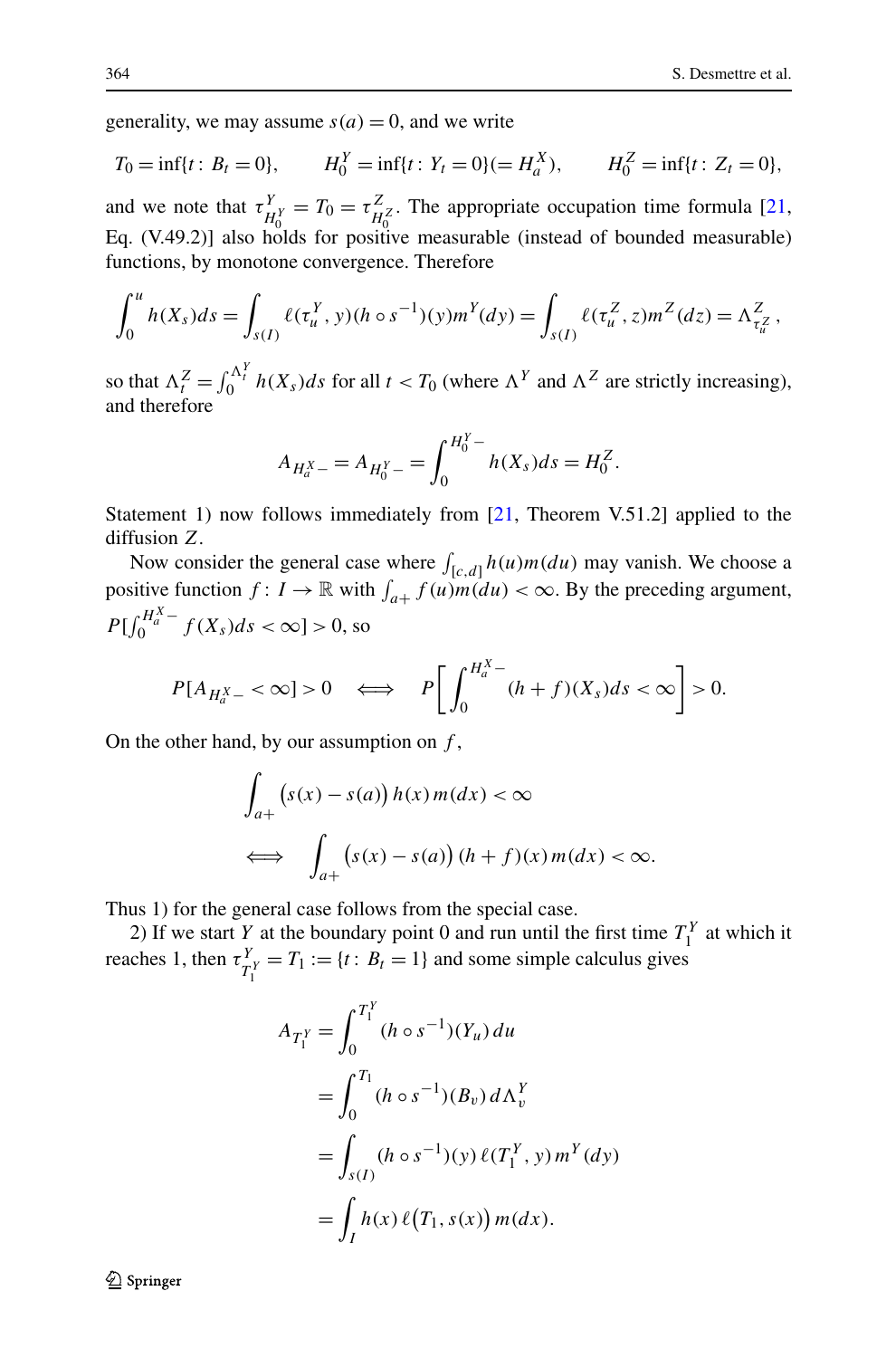generality, we may assume  $s(a) = 0$ , and we write

$$
T_0 = \inf\{t : B_t = 0\},
$$
  $H_0^Y = \inf\{t : Y_t = 0\} (= H_a^X),$   $H_0^Z = \inf\{t : Z_t = 0\},$ 

and we note that  $\tau_{H_0^Y}^Y = T_0 = \tau_{H_0^Z}^Z$ . The appropriate occupation time formula [\[21](#page-22-0), Eq. (V.49.2)] also holds for positive measurable (instead of bounded measurable) functions, by monotone convergence. Therefore

$$
\int_0^u h(X_s)ds = \int_{s(I)} \ell(\tau_u^Y, y)(h \circ s^{-1})(y) m^Y(dy) = \int_{s(I)} \ell(\tau_u^Z, z) m^Z(dz) = \Lambda_{\tau_u^Z}^Z,
$$

so that  $\Lambda_t^Z = \int_0^{\Lambda_t^Y} h(X_s)ds$  for all  $t < T_0$  (where  $\Lambda^Y$  and  $\Lambda^Z$  are strictly increasing), and therefore

$$
A_{H_a^X-} = A_{H_0^Y-} = \int_0^{H_0^Y-} h(X_s)ds = H_0^Z.
$$

Statement 1) now follows immediately from [\[21](#page-22-0), Theorem V.51.2] applied to the diffusion *Z*.

Now consider the general case where  $\int_{[c,d]} h(u) m(du)$  may vanish. We choose a positive function  $f: I \to \mathbb{R}$  with  $\int_{a+} f(u)m(du) < \infty$ . By the preceding argument,  $P[\int_0^{H_a^X} f(X_s)ds < \infty] > 0$ , so

$$
P[A_{H_a^X-} < \infty] > 0 \quad \Longleftrightarrow \quad P\bigg[\int_0^{H_a^X-} (h+f)(X_s)ds < \infty\bigg] > 0.
$$

On the other hand, by our assumption on *f* ,

$$
\int_{a+} \left( s(x) - s(a) \right) h(x) m(dx) < \infty
$$
\n
$$
\iff \int_{a+} \left( s(x) - s(a) \right) (h+f)(x) m(dx) < \infty.
$$

Thus 1) for the general case follows from the special case.

2) If we start *Y* at the boundary point 0 and run until the first time  $T_1^Y$  at which it reaches 1, then  $\tau_{T_1^Y}^Y = T_1 := \{t : B_t = 1\}$  and some simple calculus gives

$$
A_{T_1^Y} = \int_0^{T_1^Y} (h \circ s^{-1})(Y_u) du
$$
  
= 
$$
\int_0^{T_1} (h \circ s^{-1})(B_v) d\Lambda_v^Y
$$
  
= 
$$
\int_{s(I)} (h \circ s^{-1})(y) \ell(T_1^Y, y) m^Y (dy)
$$
  
= 
$$
\int_I h(x) \ell(T_1, s(x)) m(dx).
$$

 $\mathcal{D}$  Springer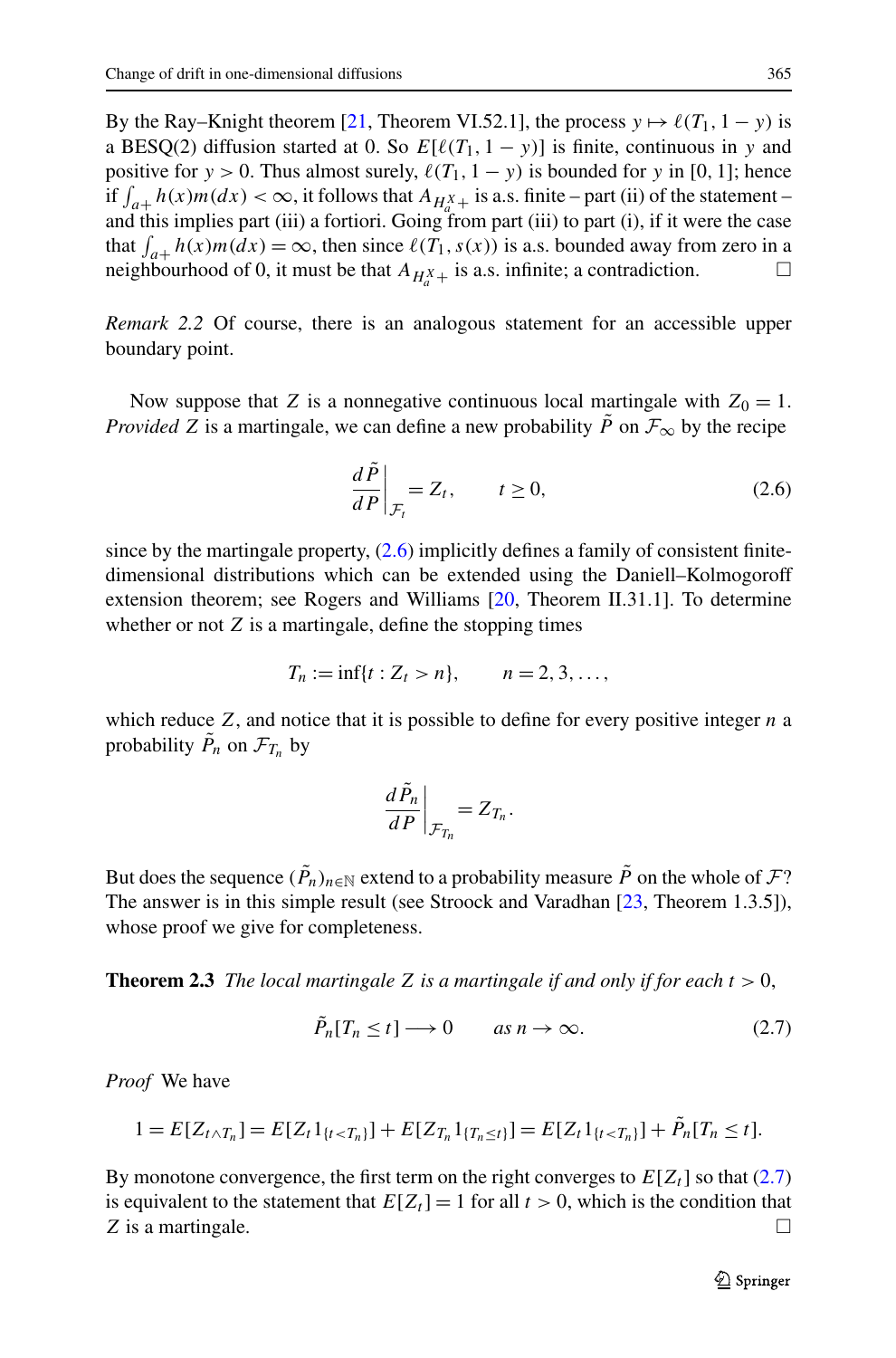<span id="page-6-0"></span>By the Ray–Knight theorem [\[21](#page-22-0), Theorem VI.52.1], the process  $y \mapsto \ell(T_1, 1 - y)$  is a BESQ(2) diffusion started at 0. So  $E[\ell(T_1, 1 - y)]$  is finite, continuous in y and positive for *y* > 0. Thus almost surely,  $\ell(T_1, 1 - y)$  is bounded for *y* in [0, 1]; hence if  $\int_{a+}^{\infty} h(x) m(dx) < \infty$ , it follows that  $A_{H_{a+}^X}$  is a.s. finite – part (ii) of the statement – and this implies part (iii) a fortiori. Going from part (iii) to part (i), if it were the case that  $\int_{a+} h(x) m(dx) = \infty$ , then since  $\ell(T_1, s(x))$  is a.s. bounded away from zero in a neighbourhood of 0, it must be that  $A_{H_a^X+}$  is a.s. infinite; a contradiction.

*Remark 2.2* Of course, there is an analogous statement for an accessible upper boundary point.

Now suppose that *Z* is a nonnegative continuous local martingale with  $Z_0 = 1$ . *Provided Z* is a martingale, we can define a new probability  $\tilde{P}$  on  $\mathcal{F}_{\infty}$  by the recipe

$$
\left. \frac{d\tilde{P}}{dP} \right|_{\mathcal{F}_t} = Z_t, \qquad t \ge 0,
$$
\n(2.6)

since by the martingale property,  $(2.6)$  implicitly defines a family of consistent finitedimensional distributions which can be extended using the Daniell–Kolmogoroff extension theorem; see Rogers and Williams [\[20,](#page-21-0) Theorem II.31.1]. To determine whether or not *Z* is a martingale, define the stopping times

$$
T_n := \inf\{t : Z_t > n\}, \qquad n = 2, 3, \ldots,
$$

which reduce *Z*, and notice that it is possible to define for every positive integer *n* a probability  $\tilde{P}_n$  on  $\mathcal{F}_{T_n}$  by

$$
\left. \frac{d\tilde{P}_n}{dP} \right|_{\mathcal{F}_{T_n}} = Z_{T_n}.
$$

But does the sequence  $(\tilde{P}_n)_{n\in\mathbb{N}}$  extend to a probability measure  $\tilde{P}$  on the whole of  $\mathcal{F}$ ? The answer is in this simple result (see Stroock and Varadhan [\[23,](#page-22-0) Theorem 1.3.5]), whose proof we give for completeness.

**Theorem 2.3** *The local martingale Z is a martingale if and only if for each*  $t > 0$ ,

$$
\tilde{P}_n[T_n \le t] \longrightarrow 0 \qquad \text{as } n \to \infty. \tag{2.7}
$$

*Proof* We have

$$
1 = E[Z_{t \wedge T_n}] = E[Z_t 1_{\{t < T_n\}}] + E[Z_{T_n} 1_{\{T_n \le t\}}] = E[Z_t 1_{\{t < T_n\}}] + \tilde{P}_n[T_n \le t].
$$

By monotone convergence, the first term on the right converges to  $E[Z_t]$  so that (2.7) is equivalent to the statement that  $E[Z_t] = 1$  for all  $t > 0$ , which is the condition that *Z* is a martingale.  $\Box$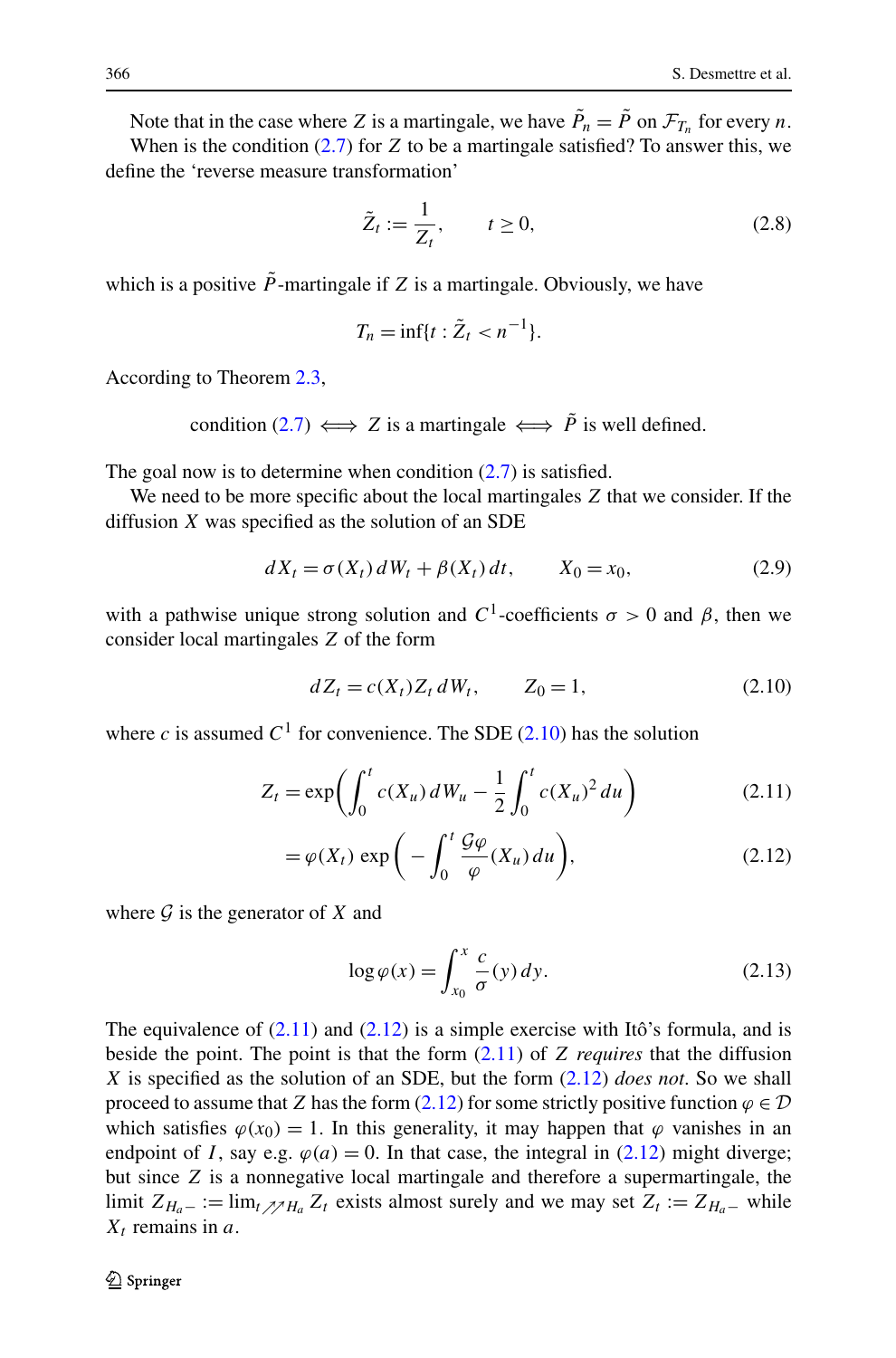<span id="page-7-0"></span>Note that in the case where *Z* is a martingale, we have  $\tilde{P}_n = \tilde{P}$  on  $\mathcal{F}_{T_n}$  for every *n*. When is the condition  $(2.7)$  for  $Z$  to be a martingale satisfied? To answer this, we

define the 'reverse measure transformation'

$$
\tilde{Z}_t := \frac{1}{Z_t}, \qquad t \ge 0,
$$
\n(2.8)

which is a positive  $\tilde{P}$ -martingale if *Z* is a martingale. Obviously, we have

$$
T_n = \inf\{t : \tilde{Z}_t < n^{-1}\}.
$$

According to Theorem [2.3,](#page-6-0)

condition ([2.7](#page-6-0))  $\iff$  *Z* is a martingale  $\iff \tilde{P}$  is well defined.

The goal now is to determine when condition  $(2.7)$  is satisfied.

We need to be more specific about the local martingales *Z* that we consider. If the diffusion *X* was specified as the solution of an SDE

$$
dX_t = \sigma(X_t) \, dW_t + \beta(X_t) \, dt, \qquad X_0 = x_0,\tag{2.9}
$$

with a pathwise unique strong solution and  $C^1$ -coefficients  $\sigma > 0$  and  $\beta$ , then we consider local martingales *Z* of the form

$$
dZ_t = c(X_t)Z_t dW_t, \t Z_0 = 1,
$$
\t(2.10)

where *c* is assumed  $C^1$  for convenience. The SDE (2.10) has the solution

$$
Z_t = \exp\left(\int_0^t c(X_u) \, dW_u - \frac{1}{2} \int_0^t c(X_u)^2 \, du\right) \tag{2.11}
$$

$$
= \varphi(X_t) \exp\bigg(-\int_0^t \frac{\mathcal{G}\varphi}{\varphi}(X_u) \, du\bigg),\tag{2.12}
$$

where  $\mathcal G$  is the generator of  $X$  and

$$
\log \varphi(x) = \int_{x_0}^{x} \frac{c}{\sigma}(y) \, dy. \tag{2.13}
$$

The equivalence of  $(2.11)$  and  $(2.12)$  is a simple exercise with Itô's formula, and is beside the point. The point is that the form (2.11) of *Z requires* that the diffusion *X* is specified as the solution of an SDE, but the form (2.12) *does not*. So we shall proceed to assume that *Z* has the form (2.12) for some strictly positive function  $\varphi \in \mathcal{D}$ which satisfies  $\varphi(x_0) = 1$ . In this generality, it may happen that  $\varphi$  vanishes in an endpoint of *I*, say e.g.  $\varphi(a) = 0$ . In that case, the integral in (2.12) might diverge; but since *Z* is a nonnegative local martingale and therefore a supermartingale, the limit  $Z_{H_a-} := \lim_{t \nearrow H_a} Z_t$  exists almost surely and we may set  $Z_t := Z_{H_a-}$  while  $X_t$  remains in  $a$ .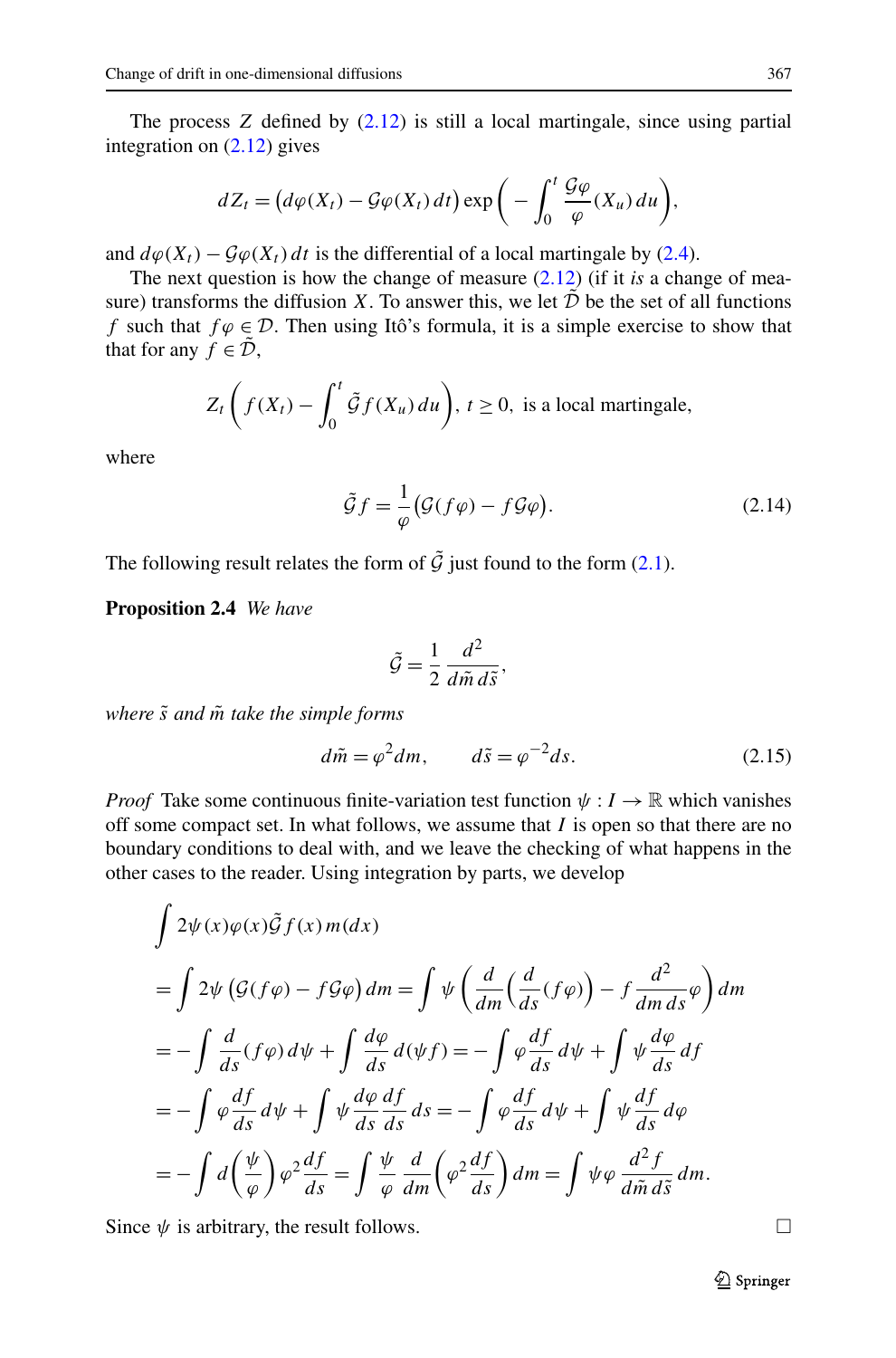<span id="page-8-0"></span>The process *Z* defined by ([2.12](#page-7-0)) is still a local martingale, since using partial integration on [\(2.12\)](#page-7-0) gives

$$
dZ_t = \big(d\varphi(X_t) - \mathcal{G}\varphi(X_t) dt\big) \exp\bigg(-\int_0^t \frac{\mathcal{G}\varphi}{\varphi}(X_u) du\bigg),\,
$$

and  $d\varphi(X_t) - \mathcal{G}\varphi(X_t) dt$  is the differential of a local martingale by [\(2.4\)](#page-3-0).

The next question is how the change of measure ([2.12](#page-7-0)) (if it *is* a change of measure) transforms the diffusion *X*. To answer this, we let  $\tilde{\mathcal{D}}$  be the set of all functions *f* such that  $f \varphi \in \mathcal{D}$ . Then using Itô's formula, it is a simple exercise to show that that for any  $f \in \mathcal{D}$ ,

$$
Z_t\left(f(X_t) - \int_0^t \tilde{\mathcal{G}}f(X_u) \, du\right), \ t \ge 0, \text{ is a local martingale},
$$

where

$$
\tilde{\mathcal{G}}f = \frac{1}{\varphi} \big( \mathcal{G}(f\varphi) - f\mathcal{G}\varphi \big). \tag{2.14}
$$

The following result relates the form of  $\tilde{\mathcal{G}}$  just found to the form [\(2.1\)](#page-3-0).

**Proposition 2.4** *We have*

$$
\tilde{\mathcal{G}} = \frac{1}{2} \frac{d^2}{d\tilde{m} d\tilde{s}},
$$

*where s*˜ *and m*˜ *take the simple forms*

$$
d\tilde{m} = \varphi^2 dm, \qquad d\tilde{s} = \varphi^{-2} ds. \tag{2.15}
$$

*Proof* Take some continuous finite-variation test function  $\psi : I \to \mathbb{R}$  which vanishes off some compact set. In what follows, we assume that *I* is open so that there are no boundary conditions to deal with, and we leave the checking of what happens in the other cases to the reader. Using integration by parts, we develop

$$
\int 2\psi(x)\varphi(x)\tilde{G}f(x) m(dx)
$$
  
= 
$$
\int 2\psi(\mathcal{G}(f\varphi) - f\mathcal{G}\varphi) dm = \int \psi\left(\frac{d}{dm}(\frac{d}{ds}(f\varphi)) - f\frac{d^2}{dmds}\varphi\right) dm
$$
  
= 
$$
-\int \frac{d}{ds}(f\varphi) d\psi + \int \frac{d\varphi}{ds} d(\psi f) = -\int \varphi \frac{df}{ds} d\psi + \int \psi \frac{d\varphi}{ds} df
$$
  
= 
$$
-\int \varphi \frac{df}{ds} d\psi + \int \psi \frac{d\varphi}{ds} \frac{df}{ds} ds = -\int \varphi \frac{df}{ds} d\psi + \int \psi \frac{df}{ds} d\varphi
$$
  
= 
$$
-\int d\left(\frac{\psi}{\varphi}\right) \varphi^2 \frac{df}{ds} = \int \frac{\psi}{\varphi} \frac{d}{dm}\left(\varphi^2 \frac{df}{ds}\right) dm = \int \psi \varphi \frac{d^2f}{d\tilde{m} d\tilde{s}} dm.
$$

Since  $\psi$  is arbitrary, the result follows.  $\Box$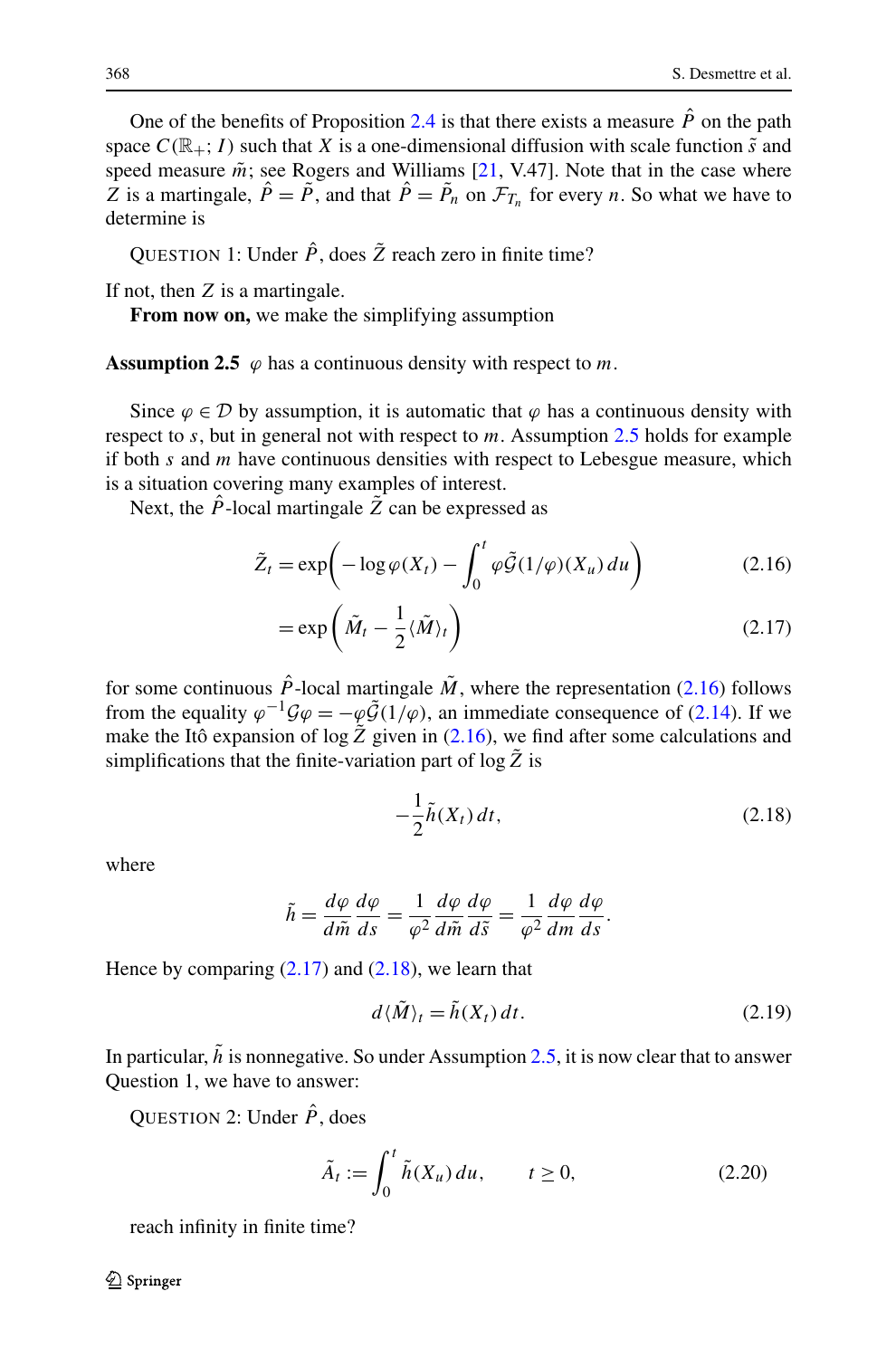<span id="page-9-0"></span>One of the benefits of Proposition [2.4](#page-8-0) is that there exists a measure  $\hat{P}$  on the path space  $C(\mathbb{R}_+; I)$  such that *X* is a one-dimensional diffusion with scale function  $\tilde{s}$  and speed measure  $\tilde{m}$ ; see Rogers and Williams [[21,](#page-22-0) V.47]. Note that in the case where *Z* is a martingale,  $\hat{P} = \tilde{P}$ , and that  $\hat{P} = \tilde{P}_n$  on  $\mathcal{F}_{T_n}$  for every *n*. So what we have to determine is

QUESTION 1: Under  $\hat{P}$ , does  $\tilde{Z}$  reach zero in finite time?

If not, then *Z* is a martingale.

**From now on,** we make the simplifying assumption

**Assumption 2.5**  $\varphi$  has a continuous density with respect to *m*.

Since  $\varphi \in \mathcal{D}$  by assumption, it is automatic that  $\varphi$  has a continuous density with respect to *s*, but in general not with respect to *m*. Assumption 2.5 holds for example if both *s* and *m* have continuous densities with respect to Lebesgue measure, which is a situation covering many examples of interest.

Next, the  $\hat{P}$ -local martingale  $\hat{Z}$  can be expressed as

$$
\tilde{Z}_t = \exp\left(-\log \varphi(X_t) - \int_0^t \varphi \tilde{\mathcal{G}}(1/\varphi)(X_u) du\right) \tag{2.16}
$$

$$
= \exp\left(\tilde{M}_t - \frac{1}{2}\langle \tilde{M} \rangle_t\right) \tag{2.17}
$$

for some continuous  $\hat{P}$ -local martingale  $\tilde{M}$ , where the representation (2.16) follows from the equality  $\varphi^{-1}\mathcal{G}\varphi = -\varphi\tilde{\mathcal{G}}(1/\varphi)$ , an immediate consequence of [\(2.14](#page-8-0)). If we make the Itô expansion of  $\log Z$  given in (2.16), we find after some calculations and simplifications that the finite-variation part of  $\log \tilde{Z}$  is

$$
-\frac{1}{2}\tilde{h}(X_t) dt, \tag{2.18}
$$

where

$$
\tilde{h} = \frac{d\varphi}{d\tilde{m}} \frac{d\varphi}{ds} = \frac{1}{\varphi^2} \frac{d\varphi}{d\tilde{m}} \frac{d\varphi}{d\tilde{s}} = \frac{1}{\varphi^2} \frac{d\varphi}{dm} \frac{d\varphi}{ds}.
$$

Hence by comparing  $(2.17)$  and  $(2.18)$ , we learn that

$$
d\langle \tilde{M} \rangle_t = \tilde{h}(X_t) dt. \tag{2.19}
$$

In particular,  $\tilde{h}$  is nonnegative. So under Assumption 2.5, it is now clear that to answer Question 1, we have to answer:

QUESTION 2: Under  $\hat{P}$ , does

$$
\tilde{A}_t := \int_0^t \tilde{h}(X_u) \, du, \qquad t \ge 0,\tag{2.20}
$$

reach infinity in finite time?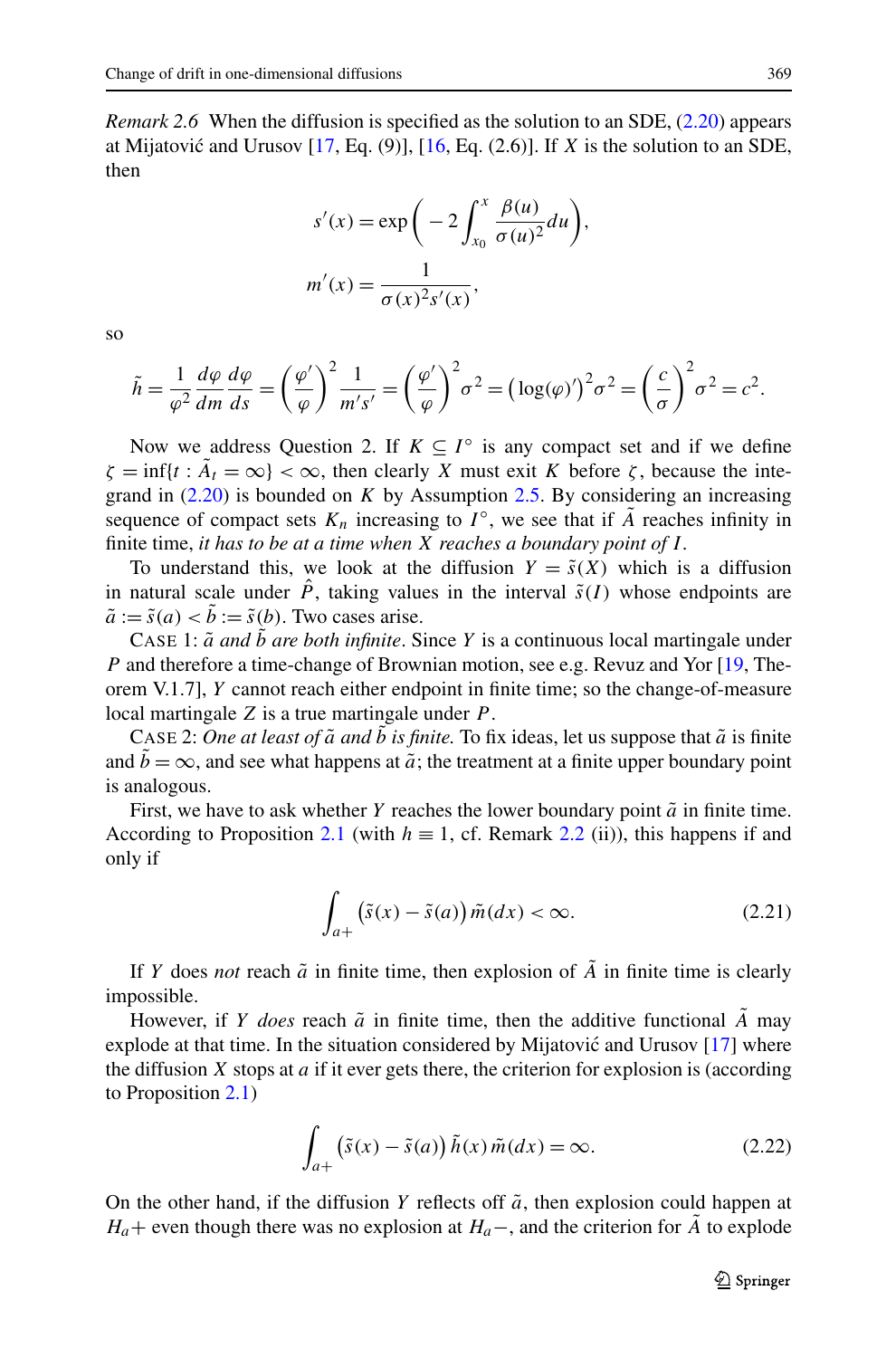<span id="page-10-0"></span>*Remark 2.6* When the diffusion is specified as the solution to an SDE, [\(2.20\)](#page-9-0) appears at Mijatović and Urusov  $[17, Eq. (9)]$  $[17, Eq. (9)]$  $[17, Eq. (9)]$ ,  $[16, Eq. (2.6)]$  $[16, Eq. (2.6)]$  $[16, Eq. (2.6)]$ . If *X* is the solution to an SDE, then

$$
s'(x) = \exp\bigg(-2\int_{x_0}^x \frac{\beta(u)}{\sigma(u)^2} du\bigg),
$$

$$
m'(x) = \frac{1}{\sigma(x)^2 s'(x)},
$$

so

$$
\tilde{h} = \frac{1}{\varphi^2} \frac{d\varphi}{dm} \frac{d\varphi}{ds} = \left(\frac{\varphi'}{\varphi}\right)^2 \frac{1}{m's'} = \left(\frac{\varphi'}{\varphi}\right)^2 \sigma^2 = \left(\log(\varphi)'\right)^2 \sigma^2 = \left(\frac{c}{\sigma}\right)^2 \sigma^2 = c^2.
$$

Now we address Question 2. If  $K \subseteq I^{\circ}$  is any compact set and if we define  $\zeta = \inf\{t : A_t = \infty\} < \infty$ , then clearly *X* must exit *K* before *ζ*, because the integrand in  $(2.20)$  $(2.20)$  $(2.20)$  is bounded on *K* by Assumption [2.5.](#page-9-0) By considering an increasing sequence of compact sets  $K_n$  increasing to  $I^\circ$ , we see that if *A* reaches infinity in finite time, *it has to be at a time when X reaches a boundary point of I .*

To understand this, we look at the diffusion  $Y = \tilde{s}(X)$  which is a diffusion in natural scale under  $\hat{P}$ , taking values in the interval  $\tilde{s}(I)$  whose endpoints are  $\tilde{a} := \tilde{s}(a) < \tilde{b} := \tilde{s}(b)$ . Two cases arise.

CASE 1:  $\tilde{a}$  *and b* are both infinite. Since *Y* is a continuous local martingale under *P* and therefore a time-change of Brownian motion, see e.g. Revuz and Yor [\[19](#page-21-0), Theorem V.1.7], *Y* cannot reach either endpoint in finite time; so the change-of-measure local martingale *Z* is a true martingale under *P* .

CASE 2: One at least of  $\tilde{a}$  and  $b$  is finite. To fix ideas, let us suppose that  $\tilde{a}$  is finite and  $b = \infty$ , and see what happens at  $\tilde{a}$ ; the treatment at a finite upper boundary point is analogous.

First, we have to ask whether *Y* reaches the lower boundary point  $\tilde{a}$  in finite time. According to Proposition [2.1](#page-4-0) (with  $h \equiv 1$ , cf. Remark [2.2](#page-6-0) (ii)), this happens if and only if

$$
\int_{a+} \left( \tilde{s}(x) - \tilde{s}(a) \right) \tilde{m}(dx) < \infty. \tag{2.21}
$$

If *Y* does *not* reach  $\tilde{a}$  in finite time, then explosion of  $\tilde{A}$  in finite time is clearly impossible.

However, if *Y does* reach  $\tilde{a}$  in finite time, then the additive functional *A* may explode at that time. In the situation considered by Mijatović and Urusov  $[17]$  $[17]$  $[17]$  where the diffusion  $X$  stops at  $a$  if it ever gets there, the criterion for explosion is (according to Proposition [2.1\)](#page-4-0)

$$
\int_{a+} \left( \tilde{s}(x) - \tilde{s}(a) \right) \tilde{h}(x) \tilde{m}(dx) = \infty.
$$
\n(2.22)

On the other hand, if the diffusion *Y* reflects off  $\tilde{a}$ , then explosion could happen at *H<sub>a</sub>*+ even though there was no explosion at *H<sub>a</sub>*−, and the criterion for *A* to explode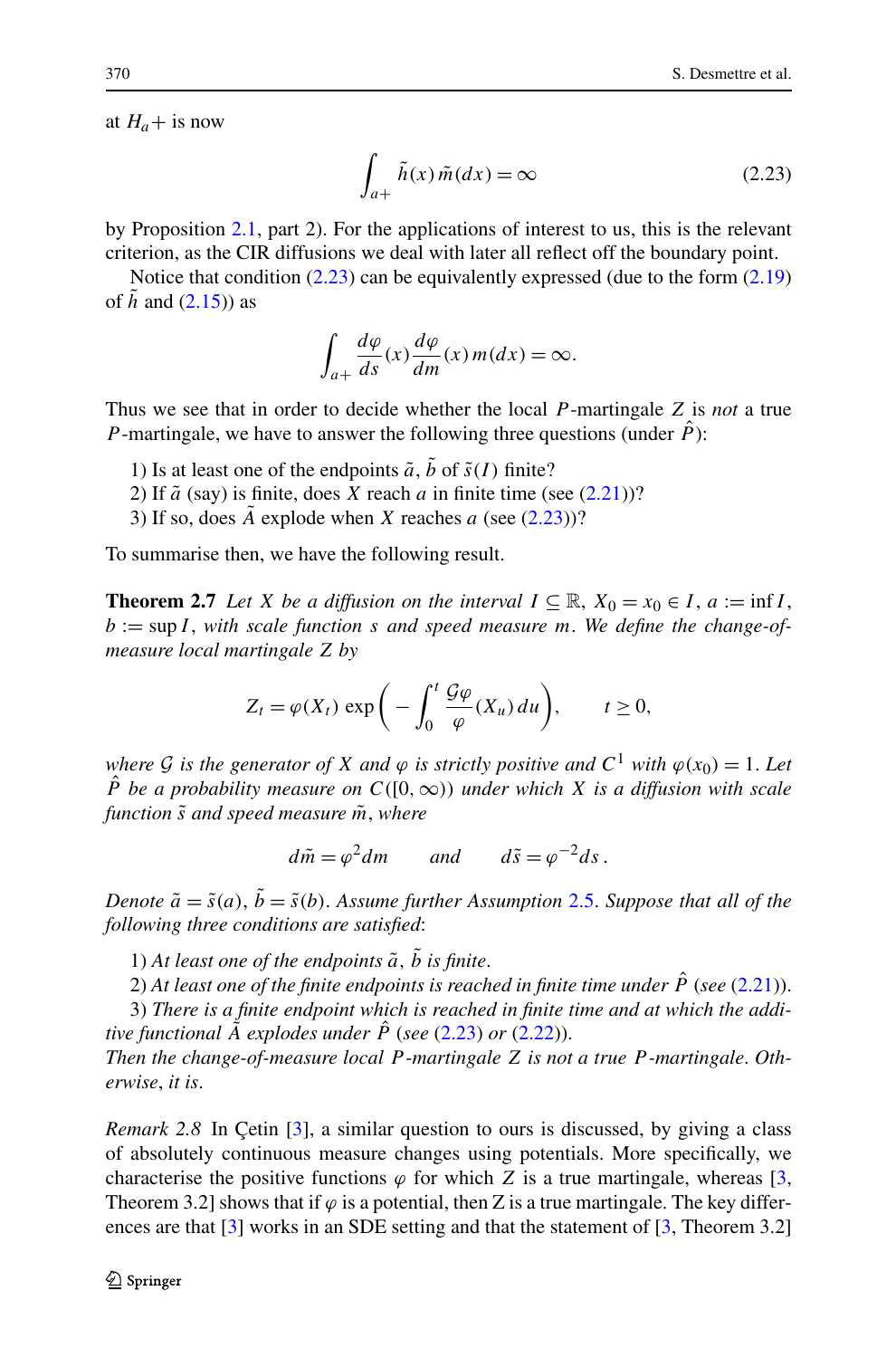<span id="page-11-0"></span>at  $H_a$ + is now

$$
\int_{a+} \tilde{h}(x)\tilde{m}(dx) = \infty \tag{2.23}
$$

by Proposition [2.1](#page-4-0), part 2). For the applications of interest to us, this is the relevant criterion, as the CIR diffusions we deal with later all reflect off the boundary point.

Notice that condition  $(2.23)$  can be equivalently expressed (due to the form  $(2.19)$  $(2.19)$  $(2.19)$ ) of  $\tilde{h}$  and [\(2.15](#page-8-0))) as

$$
\int_{a+} \frac{d\varphi}{ds}(x) \frac{d\varphi}{dm}(x) m(dx) = \infty.
$$

Thus we see that in order to decide whether the local *P* -martingale *Z* is *not* a true *P*-martingale, we have to answer the following three questions (under  $\hat{P}$ ):

- 1) Is at least one of the endpoints  $\tilde{a}$ ,  $\tilde{b}$  of  $\tilde{s}(I)$  finite?
- 2) If  $\tilde{a}$  (say) is finite, does *X* reach *a* in finite time (see  $(2.21)$ )?
- 3) If so, does  $\ddot{A}$  explode when  $\ddot{X}$  reaches  $\ddot{a}$  (see (2.23))?

To summarise then, we have the following result.

**Theorem 2.7** *Let X be a diffusion on the interval*  $I \subseteq \mathbb{R}$ ,  $X_0 = x_0 \in I$ ,  $a := \inf I$ , *b* := sup *I* , *with scale function s and speed measure m*. *We define the change-ofmeasure local martingale Z by*

$$
Z_t = \varphi(X_t) \exp\bigg(-\int_0^t \frac{\mathcal{G}\varphi}{\varphi}(X_u) du\bigg), \qquad t \ge 0,
$$

*where G is the generator of X and*  $\varphi$  *is strictly positive and*  $C^1$  *with*  $\varphi(x_0) = 1$ *. Let P*<sup> $P$ </sup> *be a probability measure on*  $C([0,\infty))$  *under which X is a diffusion with scale function s*˜ *and speed measure m*˜ , *where*

 $d\tilde{m} = \omega^2 dm$  *and*  $d\tilde{s} = \omega^{-2} ds$ .

*Denote*  $\tilde{a} = \tilde{s}(a)$ ,  $\tilde{b} = \tilde{s}(b)$ . *Assume further Assumption* [2.5.](#page-9-0) *Suppose that all of the following three conditions are satisfied*:

1) At least one of the endpoints  $\tilde{a}$ ,  $\tilde{b}$  is finite.

2) At least one of the finite endpoints is reached in finite time under  $\hat{P}$  (see ([2.21](#page-10-0))).

3) *There is a finite endpoint which is reached in finite time and at which the additive functional*  $\tilde{A}$  *explodes under*  $\hat{P}$  (*see* (2.23) *or* [\(2.22\)](#page-10-0)).

*Then the change-of-measure local P -martingale Z is not a true P -martingale*. *Otherwise*, *it is*.

*Remark 2.8* In Çetin [\[3\]](#page-21-0), a similar question to ours is discussed, by giving a class of absolutely continuous measure changes using potentials. More specifically, we characterise the positive functions  $\varphi$  for which *Z* is a true martingale, whereas [\[3](#page-21-0), Theorem 3.2] shows that if  $\varphi$  is a potential, then Z is a true martingale. The key differ-ences are that [\[3\]](#page-21-0) works in an SDE setting and that the statement of [\[3](#page-21-0), Theorem 3.2]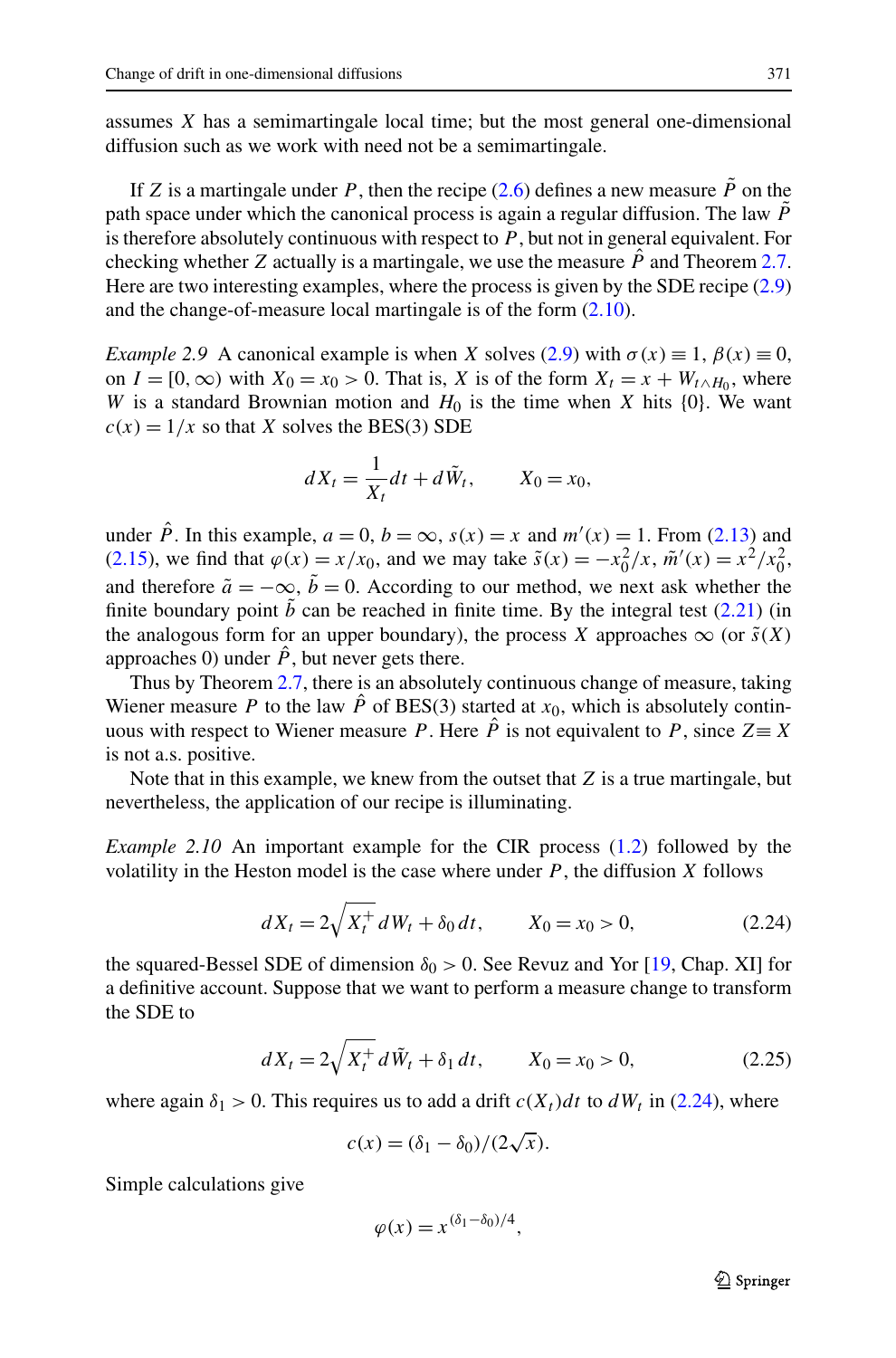<span id="page-12-0"></span>assumes *X* has a semimartingale local time; but the most general one-dimensional diffusion such as we work with need not be a semimartingale.

If *Z* is a martingale under *P*, then the recipe  $(2.6)$  defines a new measure  $\ddot{P}$  on the path space under which the canonical process is again a regular diffusion. The law  $\tilde{P}$ is therefore absolutely continuous with respect to *P* , but not in general equivalent. For checking whether *Z* actually is a martingale, we use the measure  $\hat{P}$  and Theorem [2.7](#page-11-0). Here are two interesting examples, where the process is given by the SDE recipe  $(2.9)$  $(2.9)$  $(2.9)$ and the change-of-measure local martingale is of the form ([2.10](#page-7-0)).

*Example [2.9](#page-7-0)* A canonical example is when *X* solves (2.9) with  $\sigma(x) \equiv 1$ ,  $\beta(x) \equiv 0$ , on  $I = [0, \infty)$  with  $X_0 = x_0 > 0$ . That is, *X* is of the form  $X_t = x + W_{t \wedge H_0}$ , where *W* is a standard Brownian motion and  $H_0$  is the time when *X* hits  $\{0\}$ . We want  $c(x) = 1/x$  so that *X* solves the BES(3) SDE

$$
dX_t = \frac{1}{X_t}dt + d\tilde{W}_t, \qquad X_0 = x_0,
$$

under  $\hat{P}$ . In this example,  $a = 0$ ,  $b = \infty$ ,  $s(x) = x$  and  $m'(x) = 1$ . From [\(2.13\)](#page-7-0) and [\(2.15\)](#page-8-0), we find that  $\varphi(x) = x/x_0$ , and we may take  $\tilde{s}(x) = -x_0^2/x$ ,  $\tilde{m}'(x) = x^2/x_0^2$ , and therefore  $\tilde{a} = -\infty$ ,  $\tilde{b} = 0$ . According to our method, we next ask whether the finite boundary point  $\tilde{b}$  can be reached in finite time. By the integral test [\(2.21](#page-10-0)) (in the analogous form for an upper boundary), the process *X* approaches  $\infty$  (or  $\tilde{s}(X)$ ) approaches 0) under  $\hat{P}$ , but never gets there.

Thus by Theorem [2.7,](#page-11-0) there is an absolutely continuous change of measure, taking Wiener measure *P* to the law  $\hat{P}$  of BES(3) started at  $x_0$ , which is absolutely continuous with respect to Wiener measure *P*. Here  $\hat{P}$  is not equivalent to *P*, since  $Z \equiv X$ is not a.s. positive.

Note that in this example, we knew from the outset that *Z* is a true martingale, but nevertheless, the application of our recipe is illuminating.

*Example 2.10* An important example for the CIR process [\(1.2\)](#page-1-0) followed by the volatility in the Heston model is the case where under *P* , the diffusion *X* follows

$$
dX_t = 2\sqrt{X_t^+} \, dW_t + \delta_0 \, dt, \qquad X_0 = x_0 > 0,\tag{2.24}
$$

the squared-Bessel SDE of dimension  $\delta_0 > 0$ . See Revuz and Yor [\[19](#page-21-0), Chap. XI] for a definitive account. Suppose that we want to perform a measure change to transform the SDE to

$$
dX_t = 2\sqrt{X_t^+} \, d\tilde{W}_t + \delta_1 \, dt, \qquad X_0 = x_0 > 0,\tag{2.25}
$$

where again  $\delta_1 > 0$ . This requires us to add a drift  $c(X_t)dt$  to  $dW_t$  in (2.24), where

$$
c(x) = (\delta_1 - \delta_0)/(2\sqrt{x}).
$$

Simple calculations give

$$
\varphi(x) = x^{(\delta_1 - \delta_0)/4},
$$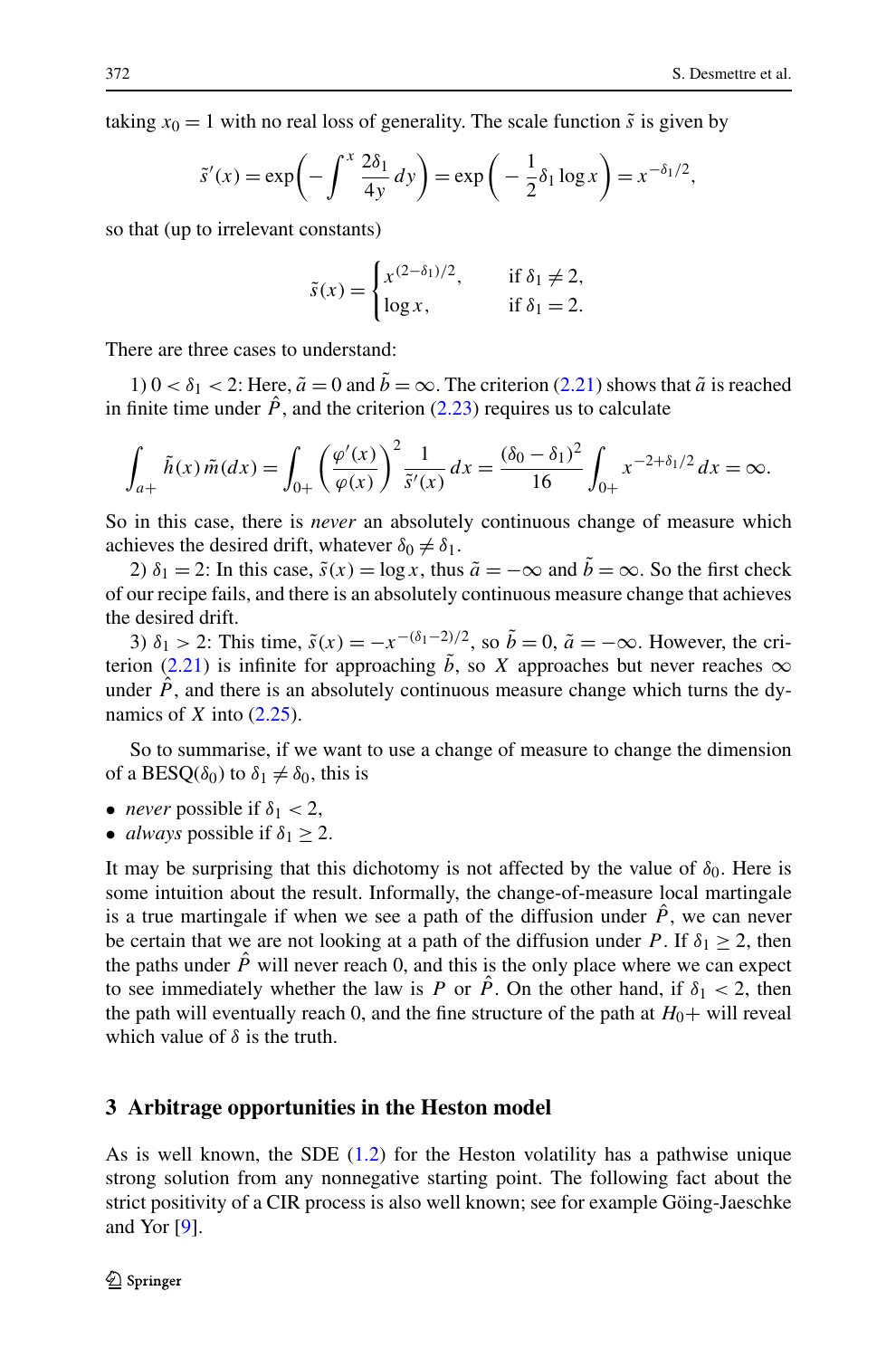<span id="page-13-0"></span>taking  $x_0 = 1$  with no real loss of generality. The scale function  $\tilde{s}$  is given by

$$
\tilde{s}'(x) = \exp\left(-\int^x \frac{2\delta_1}{4y} dy\right) = \exp\left(-\frac{1}{2}\delta_1 \log x\right) = x^{-\delta_1/2},
$$

so that (up to irrelevant constants)

$$
\tilde{s}(x) = \begin{cases} x^{(2-\delta_1)/2}, & \text{if } \delta_1 \neq 2, \\ \log x, & \text{if } \delta_1 = 2. \end{cases}
$$

There are three cases to understand:

1)  $0 < \delta_1 < 2$ : Here,  $\tilde{a} = 0$  and  $\tilde{b} = \infty$ . The criterion ([2.21](#page-10-0)) shows that  $\tilde{a}$  is reached in finite time under  $\hat{P}$ , and the criterion [\(2.23\)](#page-11-0) requires us to calculate

$$
\int_{a+} \tilde{h}(x) \tilde{m}(dx) = \int_{0+} \left(\frac{\varphi'(x)}{\varphi(x)}\right)^2 \frac{1}{\tilde{s}'(x)} dx = \frac{(\delta_0 - \delta_1)^2}{16} \int_{0+} x^{-2+\delta_1/2} dx = \infty.
$$

So in this case, there is *never* an absolutely continuous change of measure which achieves the desired drift, whatever  $\delta_0 \neq \delta_1$ .

2)  $\delta_1 = 2$ : In this case,  $\tilde{s}(x) = \log x$ , thus  $\tilde{a} = -\infty$  and  $b = \infty$ . So the first check of our recipe fails, and there is an absolutely continuous measure change that achieves the desired drift.

3)  $\delta_1 > 2$ : This time,  $\tilde{s}(x) = -x^{-(\delta_1 - 2)/2}$ , so  $\tilde{b} = 0$ ,  $\tilde{a} = -\infty$ . However, the cri-terion [\(2.21\)](#page-10-0) is infinite for approaching  $\tilde{b}$ , so *X* approaches but never reaches  $\infty$ under  $\hat{P}$ , and there is an absolutely continuous measure change which turns the dynamics of *X* into [\(2.25\)](#page-12-0).

So to summarise, if we want to use a change of measure to change the dimension of a BESQ( $\delta_0$ ) to  $\delta_1 \neq \delta_0$ , this is

- *never* possible if  $\delta_1$  < 2,
- *always* possible if  $\delta_1 \geq 2$ .

It may be surprising that this dichotomy is not affected by the value of  $\delta_0$ . Here is some intuition about the result. Informally, the change-of-measure local martingale is a true martingale if when we see a path of the diffusion under  $\hat{P}$ , we can never be certain that we are not looking at a path of the diffusion under *P*. If  $\delta_1 \geq 2$ , then the paths under  $\hat{P}$  will never reach 0, and this is the only place where we can expect to see immediately whether the law is *P* or *P*. On the other hand, if  $\delta_1 < 2$ , then the path will eventually reach 0, and the fine structure of the path at  $H_0+$  will reveal which value of *δ* is the truth.

#### **3 Arbitrage opportunities in the Heston model**

As is well known, the SDE ([1.2](#page-1-0)) for the Heston volatility has a pathwise unique strong solution from any nonnegative starting point. The following fact about the strict positivity of a CIR process is also well known; see for example Göing-Jaeschke and Yor [[9\]](#page-21-0).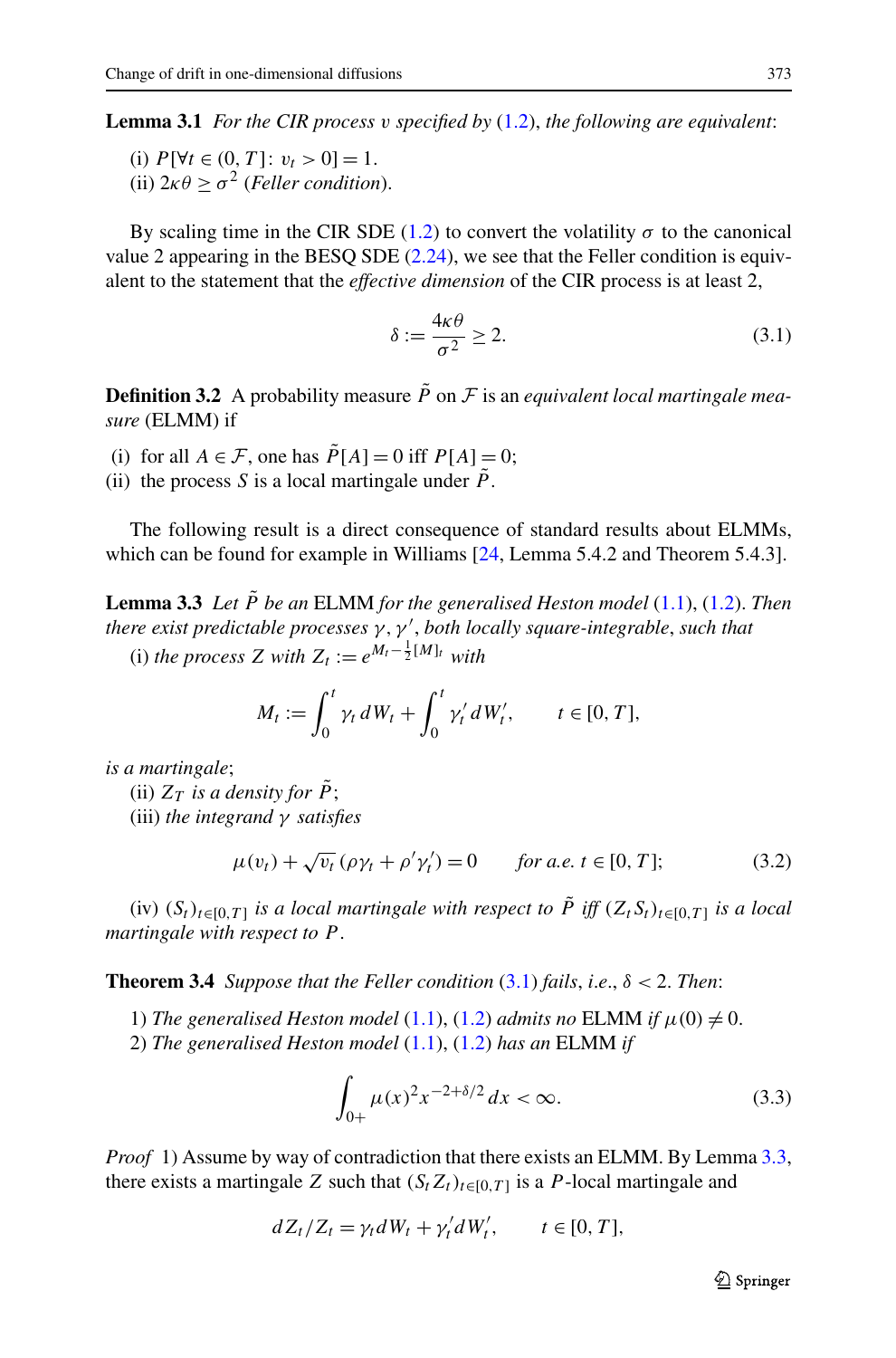<span id="page-14-0"></span>**Lemma 3.1** *For the CIR process v specified by* ([1.2](#page-1-0)), *the following are equivalent*:

(i)  $P[\forall t \in (0, T] : v_t > 0] = 1.$ (ii)  $2\kappa\theta > \sigma^2$  (*Feller condition*).

By scaling time in the CIR SDE ([1.2](#page-1-0)) to convert the volatility  $\sigma$  to the canonical value 2 appearing in the BESQ SDE  $(2.24)$  $(2.24)$  $(2.24)$ , we see that the Feller condition is equivalent to the statement that the *effective dimension* of the CIR process is at least 2,

$$
\delta := \frac{4\kappa\theta}{\sigma^2} \ge 2. \tag{3.1}
$$

**Definition 3.2** A probability measure  $\tilde{P}$  on  $\mathcal F$  is an *equivalent local martingale measure* (ELMM) if

(i) for all  $A \in \mathcal{F}$ , one has  $\tilde{P}[A] = 0$  iff  $P[A] = 0$ ;

(ii) the process *S* is a local martingale under  $\overline{P}$ .

The following result is a direct consequence of standard results about ELMMs, which can be found for example in Williams [[24,](#page-22-0) Lemma 5.4.2 and Theorem 5.4.3].

**Lemma 3.3** *Let*  $\tilde{P}$  *be an* ELMM *for the generalised Heston model* [\(1.1](#page-1-0)), ([1.2](#page-1-0)). *Then there exist predictable processes γ,γ* , *both locally square-integrable*, *such that*

(i) *the process Z* with  $Z_t := e^{M_t - \frac{1}{2}[M]_t}$  with

$$
M_t := \int_0^t \gamma_t dW_t + \int_0^t \gamma'_t dW'_t, \qquad t \in [0, T],
$$

*is a martingale*;

(ii)  $Z_T$  *is a density for*  $\tilde{P}$ ; (iii) *the integrand γ satisfies*

$$
\mu(v_t) + \sqrt{v_t} \left( \rho \gamma_t + \rho' \gamma_t' \right) = 0 \quad \text{for a.e. } t \in [0, T]; \tag{3.2}
$$

(iv)  $(S_t)_{t \in [0,T]}$  *is a local martingale with respect to*  $\tilde{P}$  *iff*  $(Z_t S_t)_{t \in [0,T]}$  *is a local martingale with respect to P* .

**Theorem 3.4** *Suppose that the Feller condition*  $(3.1)$  *fails, i.e.,*  $\delta < 2$ *. Then:* 

1) *The generalised Heston model* [\(1.1](#page-1-0)), ([1.2](#page-1-0)) *admits no* ELMM *if*  $\mu(0) \neq 0$ . 2) *The generalised Heston model* [\(1.1](#page-1-0)), ([1.2](#page-1-0)) *has an* ELMM *if*

$$
\int_{0+} \mu(x)^2 x^{-2+\delta/2} dx < \infty.
$$
 (3.3)

*Proof* 1) Assume by way of contradiction that there exists an ELMM. By Lemma 3.3, there exists a martingale *Z* such that  $(S_t Z_t)_{t \in [0,T]}$  is a *P*-local martingale and

$$
dZ_t/Z_t = \gamma_t dW_t + \gamma'_t dW'_t, \qquad t \in [0, T],
$$

 $\mathcal{D}$  Springer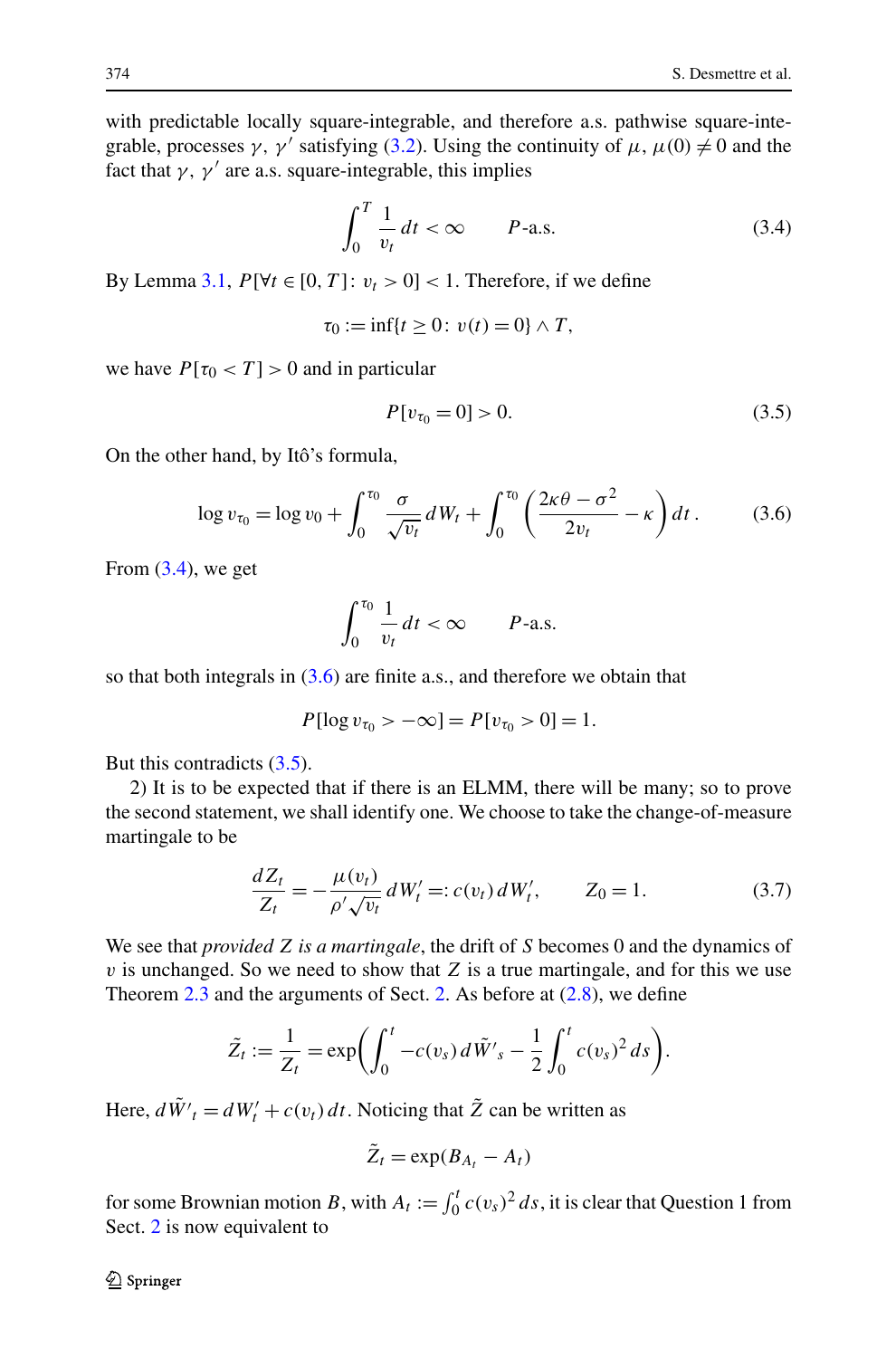<span id="page-15-0"></span>with predictable locally square-integrable, and therefore a.s. pathwise square-integrable, processes  $\gamma$ ,  $\gamma'$  satisfying [\(3.2](#page-14-0)). Using the continuity of  $\mu$ ,  $\mu(0) \neq 0$  and the fact that  $\gamma$ ,  $\gamma'$  are a.s. square-integrable, this implies

$$
\int_0^T \frac{1}{v_t} dt < \infty \qquad P\text{-a.s.} \tag{3.4}
$$

By Lemma [3.1](#page-14-0),  $P[\forall t \in [0, T] : v_t > 0] < 1$ . Therefore, if we define

$$
\tau_0 := \inf\{t \ge 0 \colon v(t) = 0\} \wedge T,
$$

we have  $P[\tau_0 < T] > 0$  and in particular

$$
P[v_{\tau_0} = 0] > 0. \tag{3.5}
$$

On the other hand, by Itô's formula,

$$
\log v_{\tau_0} = \log v_0 + \int_0^{\tau_0} \frac{\sigma}{\sqrt{v_t}} dW_t + \int_0^{\tau_0} \left( \frac{2\kappa \theta - \sigma^2}{2v_t} - \kappa \right) dt \,. \tag{3.6}
$$

From  $(3.4)$ , we get

$$
\int_0^{\tau_0} \frac{1}{v_t} dt < \infty \qquad P\text{-a.s.}
$$

so that both integrals in  $(3.6)$  are finite a.s., and therefore we obtain that

$$
P[\log v_{\tau_0} > -\infty] = P[v_{\tau_0} > 0] = 1.
$$

But this contradicts (3.5).

2) It is to be expected that if there is an ELMM, there will be many; so to prove the second statement, we shall identify one. We choose to take the change-of-measure martingale to be

$$
\frac{dZ_t}{Z_t} = -\frac{\mu(v_t)}{\rho' \sqrt{v_t}} dW'_t =: c(v_t) dW'_t, \qquad Z_0 = 1.
$$
 (3.7)

We see that *provided Z is a martingale*, the drift of *S* becomes 0 and the dynamics of *v* is unchanged. So we need to show that *Z* is a true martingale, and for this we use Theorem  $2.3$  and the arguments of Sect. [2](#page-2-0). As before at  $(2.8)$  $(2.8)$  $(2.8)$ , we define

$$
\tilde{Z}_t := \frac{1}{Z_t} = \exp\biggl(\int_0^t -c(v_s) \, d\tilde{W}'_s - \frac{1}{2} \int_0^t c(v_s)^2 \, ds\biggr).
$$

Here,  $d\tilde{W}'_t = dW'_t + c(v_t) dt$ . Noticing that  $\tilde{Z}$  can be written as

$$
\tilde{Z}_t = \exp(B_{A_t} - A_t)
$$

for some Brownian motion *B*, with  $A_t := \int_0^t c(v_s)^2 ds$ , it is clear that Question 1 from Sect. [2](#page-2-0) is now equivalent to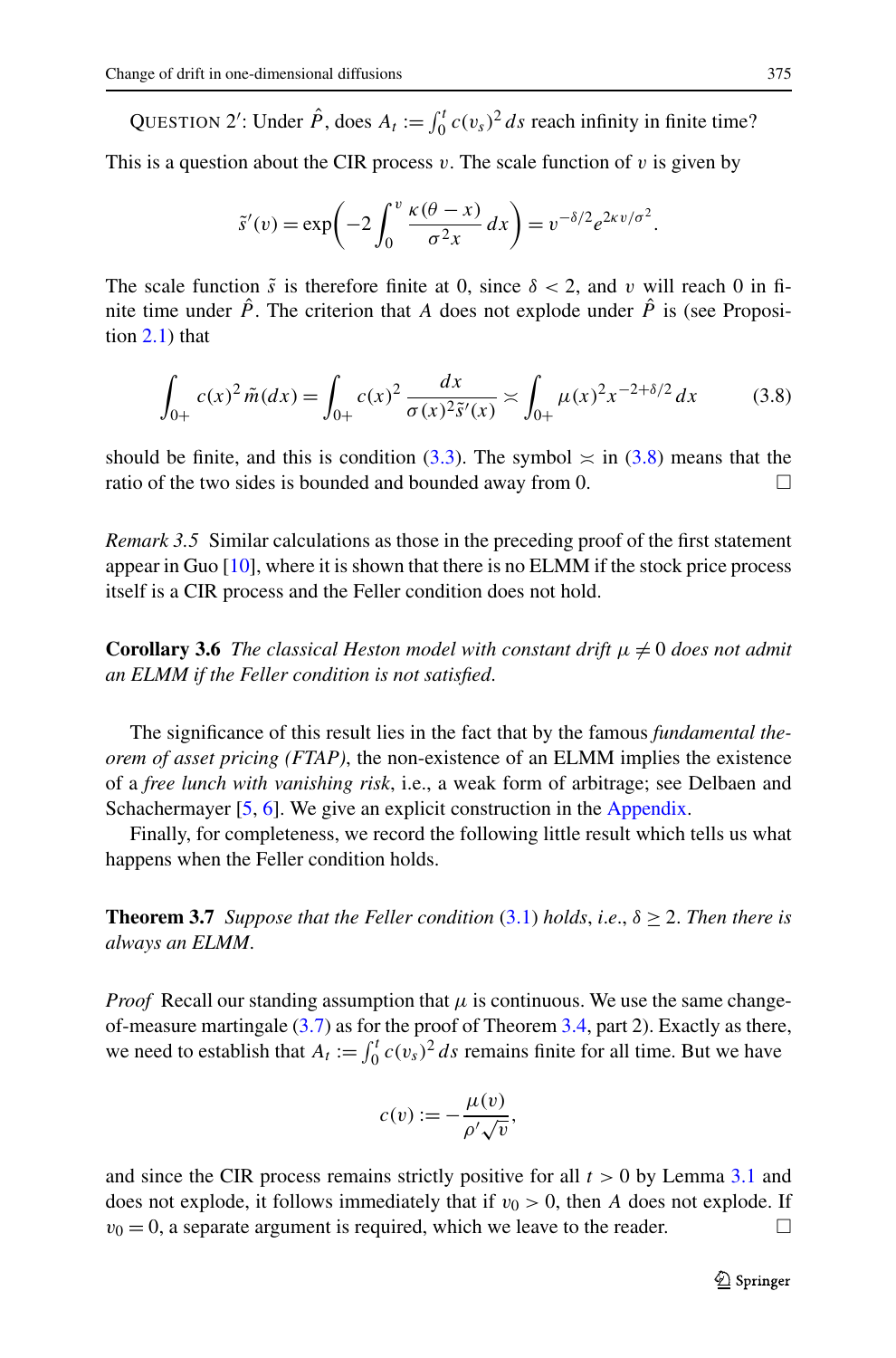QUESTION 2': Under  $\hat{P}$ , does  $A_t := \int_0^t c(v_s)^2 ds$  reach infinity in finite time?

This is a question about the CIR process  $v$ . The scale function of  $v$  is given by

$$
\tilde{s}'(v) = \exp\biggl(-2\int_0^v \frac{\kappa(\theta - x)}{\sigma^2 x} dx\biggr) = v^{-\delta/2} e^{2\kappa v/\sigma^2}.
$$

The scale function  $\tilde{s}$  is therefore finite at 0, since  $\delta < 2$ , and *v* will reach 0 in finite time under  $\hat{P}$ . The criterion that A does not explode under  $\hat{P}$  is (see Proposition [2.1](#page-4-0)) that

$$
\int_{0+} c(x)^2 \tilde{m}(dx) = \int_{0+} c(x)^2 \frac{dx}{\sigma(x)^2 \tilde{s}'(x)} \approx \int_{0+} \mu(x)^2 x^{-2+\delta/2} dx \tag{3.8}
$$

should be finite, and this is condition ([3.3](#page-14-0)). The symbol  $\approx$  in (3.8) means that the ratio of the two sides is bounded and bounded away from 0.  $\Box$ 

*Remark 3.5* Similar calculations as those in the preceding proof of the first statement appear in Guo [\[10](#page-21-0)], where it is shown that there is no ELMM if the stock price process itself is a CIR process and the Feller condition does not hold.

**Corollary 3.6** *The classical Heston model with constant drift*  $\mu \neq 0$  *does not admit an ELMM if the Feller condition is not satisfied*.

The significance of this result lies in the fact that by the famous *fundamental theorem of asset pricing (FTAP)*, the non-existence of an ELMM implies the existence of a *free lunch with vanishing risk*, i.e., a weak form of arbitrage; see Delbaen and Schachermayer [\[5](#page-21-0), [6\]](#page-21-0). We give an explicit construction in the [Appendix](#page-17-0).

Finally, for completeness, we record the following little result which tells us what happens when the Feller condition holds.

**Theorem 3.7** *Suppose that the Feller condition* [\(3.1\)](#page-14-0) *holds, i.e.,*  $\delta \geq 2$ *. Then there is always an ELMM*.

*Proof* Recall our standing assumption that  $\mu$  is continuous. We use the same changeof-measure martingale ([3.7](#page-15-0)) as for the proof of Theorem [3.4,](#page-14-0) part 2). Exactly as there, we need to establish that  $A_t := \int_0^t c(v_s)^2 ds$  remains finite for all time. But we have

$$
c(v) := -\frac{\mu(v)}{\rho'\sqrt{v}},
$$

and since the CIR process remains strictly positive for all *t >* 0 by Lemma [3.1](#page-14-0) and does not explode, it follows immediately that if  $v_0 > 0$ , then *A* does not explode. If  $v_0 = 0$ , a separate argument is required, which we leave to the reader.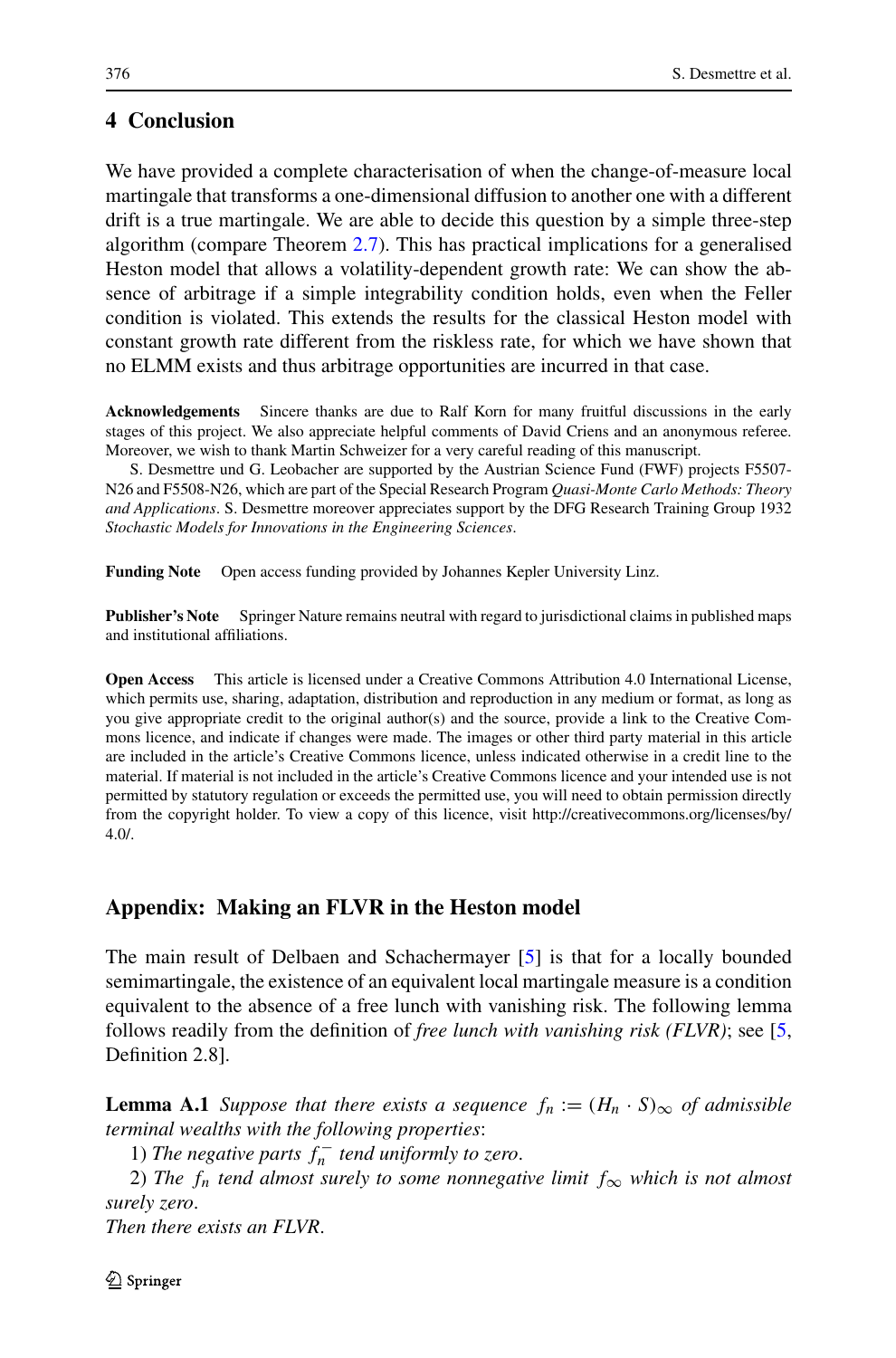## <span id="page-17-0"></span>**4 Conclusion**

We have provided a complete characterisation of when the change-of-measure local martingale that transforms a one-dimensional diffusion to another one with a different drift is a true martingale. We are able to decide this question by a simple three-step algorithm (compare Theorem [2.7\)](#page-11-0). This has practical implications for a generalised Heston model that allows a volatility-dependent growth rate: We can show the absence of arbitrage if a simple integrability condition holds, even when the Feller condition is violated. This extends the results for the classical Heston model with constant growth rate different from the riskless rate, for which we have shown that no ELMM exists and thus arbitrage opportunities are incurred in that case.

**Acknowledgements** Sincere thanks are due to Ralf Korn for many fruitful discussions in the early stages of this project. We also appreciate helpful comments of David Criens and an anonymous referee. Moreover, we wish to thank Martin Schweizer for a very careful reading of this manuscript.

S. Desmettre und G. Leobacher are supported by the Austrian Science Fund (FWF) projects F5507- N26 and F5508-N26, which are part of the Special Research Program *Quasi-Monte Carlo Methods: Theory and Applications*. S. Desmettre moreover appreciates support by the DFG Research Training Group 1932 *Stochastic Models for Innovations in the Engineering Sciences*.

**Funding Note** Open access funding provided by Johannes Kepler University Linz.

**Publisher's Note** Springer Nature remains neutral with regard to jurisdictional claims in published maps and institutional affiliations.

**Open Access** This article is licensed under a Creative Commons Attribution 4.0 International License, which permits use, sharing, adaptation, distribution and reproduction in any medium or format, as long as you give appropriate credit to the original author(s) and the source, provide a link to the Creative Commons licence, and indicate if changes were made. The images or other third party material in this article are included in the article's Creative Commons licence, unless indicated otherwise in a credit line to the material. If material is not included in the article's Creative Commons licence and your intended use is not permitted by statutory regulation or exceeds the permitted use, you will need to obtain permission directly from the copyright holder. To view a copy of this licence, visit http://creativecommons.org/licenses/by/ 4.0/.

### **Appendix: Making an FLVR in the Heston model**

The main result of Delbaen and Schachermayer [\[5\]](#page-21-0) is that for a locally bounded semimartingale, the existence of an equivalent local martingale measure is a condition equivalent to the absence of a free lunch with vanishing risk. The following lemma follows readily from the definition of *free lunch with vanishing risk (FLVR)*; see [\[5](#page-21-0), Definition 2.8].

**Lemma A.1** *Suppose that there exists a sequence*  $f_n := (H_n \cdot S)_{\infty}$  *of admissible terminal wealths with the following properties*:

1) *The negative parts*  $f_n^-$  *tend uniformly to zero.* 

2) The  $f_n$  *tend almost surely to some nonnegative limit*  $f_{\infty}$  *which is not almost surely zero*.

*Then there exists an FLVR*.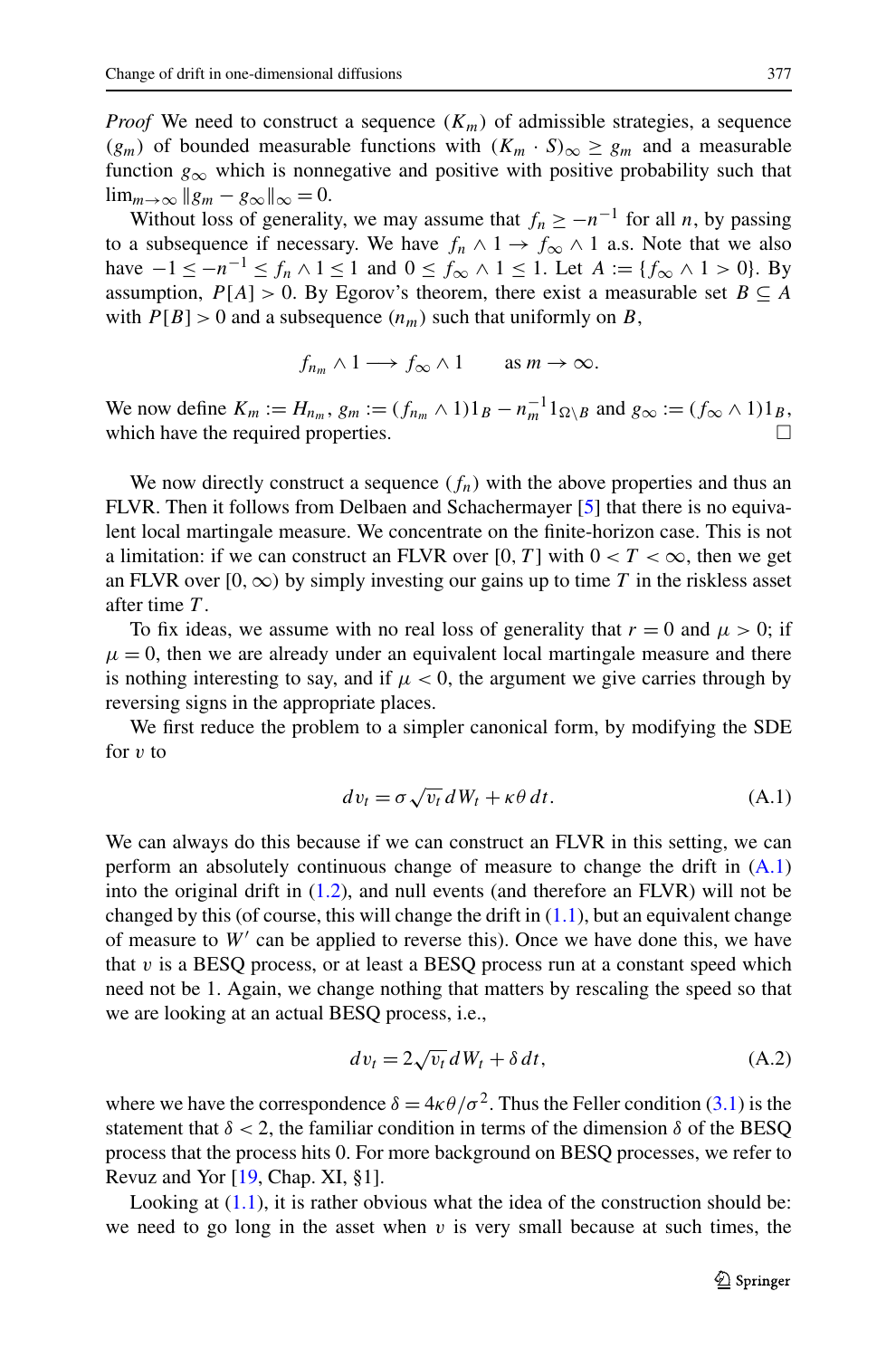<span id="page-18-0"></span>*Proof* We need to construct a sequence  $(K_m)$  of admissible strategies, a sequence *(g<sub>m</sub>)* of bounded measurable functions with  $(K_m \cdot S)_{\infty}$  ≥ *g<sub>m</sub>* and a measurable function  $g_{\infty}$  which is nonnegative and positive with positive probability such that  $\lim_{m\to\infty}$   $\|g_m - g_\infty\|_{\infty} = 0.$ 

Without loss of generality, we may assume that  $f_n \ge -n^{-1}$  for all *n*, by passing to a subsequence if necessary. We have  $f_n \wedge 1 \rightarrow f_\infty \wedge 1$  a.s. Note that we also have  $-1 \le -n^{-1} \le f_n \wedge 1 \le 1$  and  $0 \le f_\infty \wedge 1 \le 1$ . Let  $A := \{f_\infty \wedge 1 > 0\}$ . By assumption,  $P[A] > 0$ . By Egorov's theorem, there exist a measurable set  $B \subseteq A$ with  $P[B] > 0$  and a subsequence  $(n_m)$  such that uniformly on *B*,

$$
f_{n_m} \wedge 1 \longrightarrow f_{\infty} \wedge 1
$$
 as  $m \to \infty$ .

We now define  $K_m := H_{n_m}, g_m := (f_{n_m} \wedge 1)1_B - n_m^{-1}1_{\Omega \setminus B}$  and  $g_{\infty} := (f_{\infty} \wedge 1)1_B$ , which have the required properties.  $\Box$ 

We now directly construct a sequence  $(f_n)$  with the above properties and thus an FLVR. Then it follows from Delbaen and Schachermayer [\[5\]](#page-21-0) that there is no equivalent local martingale measure. We concentrate on the finite-horizon case. This is not a limitation: if we can construct an FLVR over [0, T] with  $0 < T < \infty$ , then we get an FLVR over  $[0, \infty)$  by simply investing our gains up to time *T* in the riskless asset after time *T* .

To fix ideas, we assume with no real loss of generality that  $r = 0$  and  $\mu > 0$ ; if  $\mu = 0$ , then we are already under an equivalent local martingale measure and there is nothing interesting to say, and if  $\mu < 0$ , the argument we give carries through by reversing signs in the appropriate places.

We first reduce the problem to a simpler canonical form, by modifying the SDE for *v* to

$$
dv_t = \sigma \sqrt{v_t} \, dW_t + \kappa \theta \, dt. \tag{A.1}
$$

We can always do this because if we can construct an FLVR in this setting, we can perform an absolutely continuous change of measure to change the drift in  $(A.1)$ into the original drift in ([1.2](#page-1-0)), and null events (and therefore an FLVR) will not be changed by this (of course, this will change the drift in  $(1.1)$  $(1.1)$  $(1.1)$ , but an equivalent change of measure to *W* can be applied to reverse this). Once we have done this, we have that  $v$  is a BESQ process, or at least a BESQ process run at a constant speed which need not be 1. Again, we change nothing that matters by rescaling the speed so that we are looking at an actual BESQ process, i.e.,

$$
dv_t = 2\sqrt{v_t} \, dW_t + \delta \, dt,\tag{A.2}
$$

where we have the correspondence  $\delta = 4\kappa \theta/\sigma^2$ . Thus the Feller condition ([3.1](#page-14-0)) is the statement that  $\delta$  < 2, the familiar condition in terms of the dimension  $\delta$  of the BESQ process that the process hits 0. For more background on BESQ processes, we refer to Revuz and Yor [\[19,](#page-21-0) Chap. XI, §1].

Looking at  $(1.1)$  $(1.1)$ , it is rather obvious what the idea of the construction should be: we need to go long in the asset when  $v$  is very small because at such times, the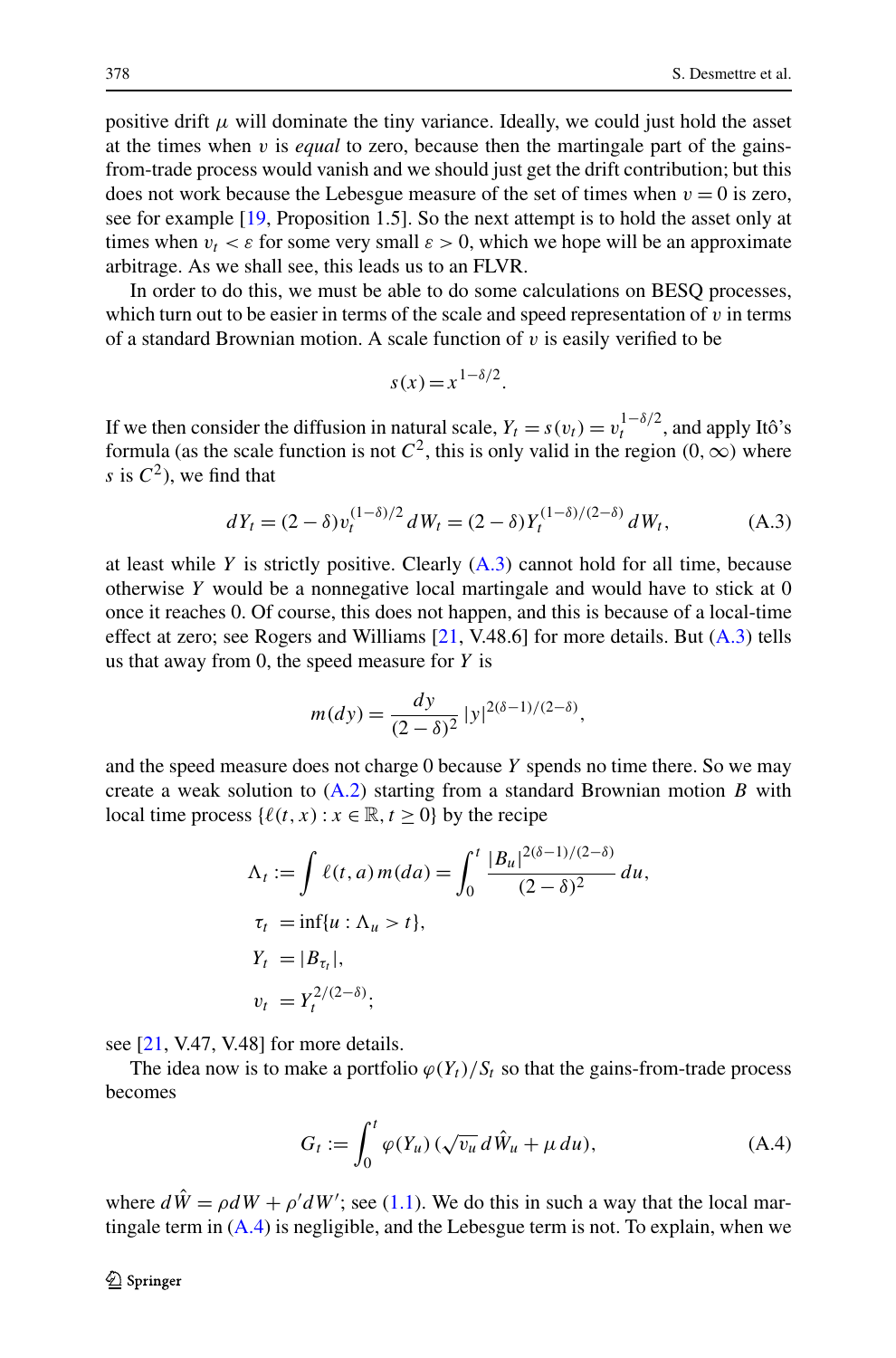positive drift  $\mu$  will dominate the tiny variance. Ideally, we could just hold the asset at the times when *v* is *equal* to zero, because then the martingale part of the gainsfrom-trade process would vanish and we should just get the drift contribution; but this does not work because the Lebesgue measure of the set of times when  $v = 0$  is zero, see for example [[19,](#page-21-0) Proposition 1.5]. So the next attempt is to hold the asset only at times when  $v_t < \varepsilon$  for some very small  $\varepsilon > 0$ , which we hope will be an approximate arbitrage. As we shall see, this leads us to an FLVR.

In order to do this, we must be able to do some calculations on BESQ processes, which turn out to be easier in terms of the scale and speed representation of *v* in terms of a standard Brownian motion. A scale function of *v* is easily verified to be

$$
s(x) = x^{1-\delta/2}.
$$

If we then consider the diffusion in natural scale,  $Y_t = s(v_t) = v_t^{1-\delta/2}$ , and apply Itô's formula (as the scale function is not  $C^2$ , this is only valid in the region  $(0, \infty)$  where *s* is  $C^2$ , we find that

$$
dY_t = (2 - \delta)v_t^{(1-\delta)/2} dW_t = (2 - \delta)Y_t^{(1-\delta)/(2-\delta)} dW_t,
$$
 (A.3)

at least while  $Y$  is strictly positive. Clearly  $(A.3)$  cannot hold for all time, because otherwise *Y* would be a nonnegative local martingale and would have to stick at 0 once it reaches 0. Of course, this does not happen, and this is because of a local-time effect at zero; see Rogers and Williams  $[21, V.48.6]$  $[21, V.48.6]$  for more details. But  $(A.3)$  tells us that away from 0, the speed measure for *Y* is

$$
m(dy) = \frac{dy}{(2-\delta)^2} |y|^{2(\delta-1)/(2-\delta)},
$$

and the speed measure does not charge 0 because *Y* spends no time there. So we may create a weak solution to [\(A.2\)](#page-18-0) starting from a standard Brownian motion *B* with local time process  $\{\ell(t, x) : x \in \mathbb{R}, t \ge 0\}$  by the recipe

$$
\Lambda_t := \int \ell(t, a) m(da) = \int_0^t \frac{|B_u|^{2(\delta - 1)/(2 - \delta)}}{(2 - \delta)^2} du,
$$
  
\n
$$
\tau_t = \inf\{u : \Lambda_u > t\},
$$
  
\n
$$
Y_t = |B_{\tau_t}|,
$$
  
\n
$$
v_t = Y_t^{2/(2 - \delta)};
$$

see  $[21, V.47, V.48]$  $[21, V.47, V.48]$  for more details.

The idea now is to make a portfolio  $\varphi(Y_t)/S_t$  so that the gains-from-trade process becomes

$$
G_t := \int_0^t \varphi(Y_u) \left( \sqrt{v_u} \, d\hat{W}_u + \mu \, du \right), \tag{A.4}
$$

where  $d\hat{W} = \rho dW + \rho' dW'$ ; see [\(1.1](#page-1-0)). We do this in such a way that the local martingale term in  $(A.4)$  is negligible, and the Lebesgue term is not. To explain, when we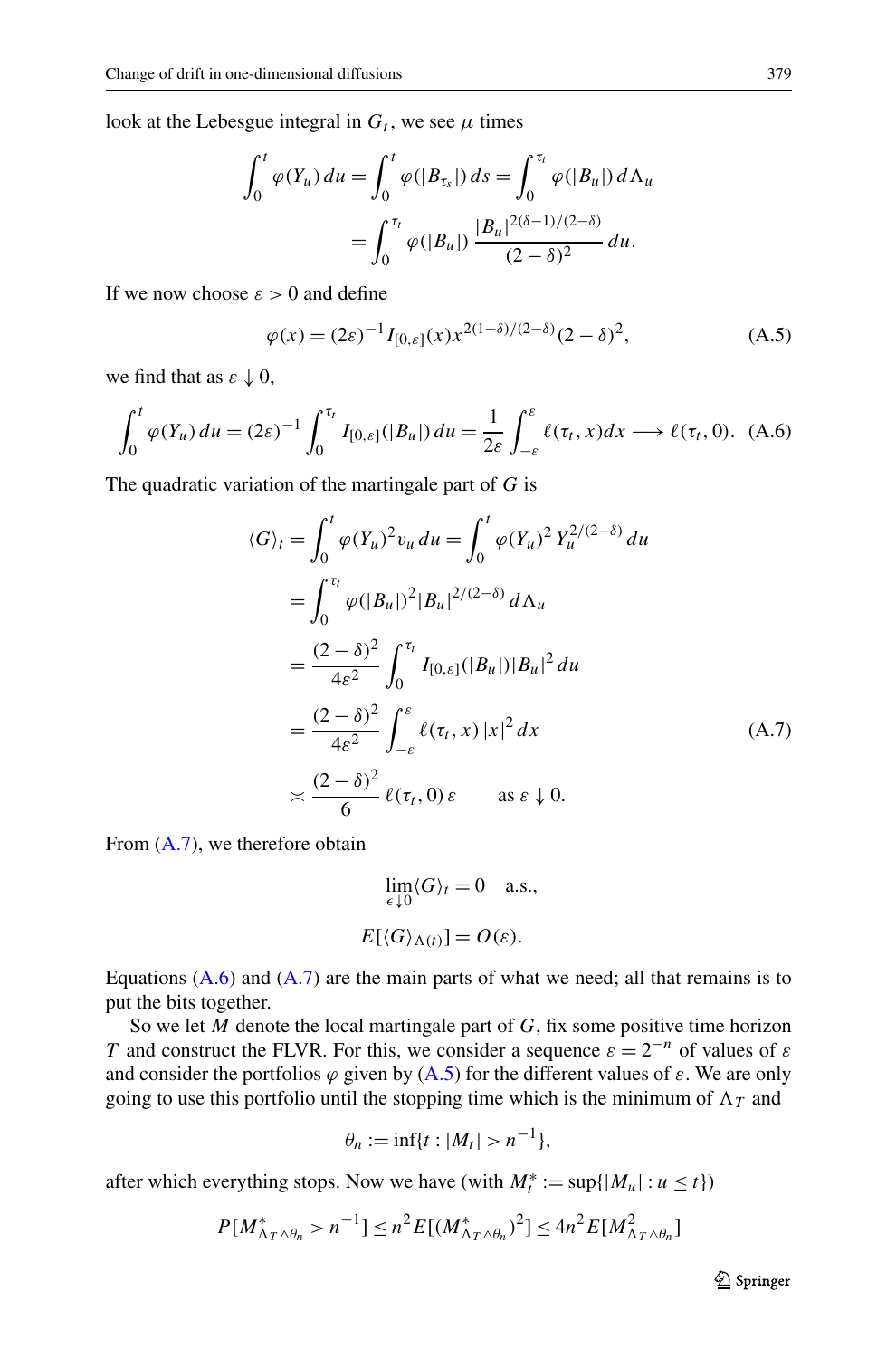<span id="page-20-0"></span>look at the Lebesgue integral in  $G_t$ , we see  $\mu$  times

$$
\int_0^t \varphi(Y_u) \, du = \int_0^t \varphi(|B_{\tau_s}|) \, ds = \int_0^{\tau_t} \varphi(|B_u|) \, d\Lambda_u
$$
\n
$$
= \int_0^{\tau_t} \varphi(|B_u|) \, \frac{|B_u|^{2(\delta - 1)/(2 - \delta)}}{(2 - \delta)^2} \, du.
$$

If we now choose  $\varepsilon > 0$  and define

$$
\varphi(x) = (2\varepsilon)^{-1} I_{[0,\varepsilon]}(x) x^{2(1-\delta)/(2-\delta)} (2-\delta)^2,
$$
\n(A.5)

we find that as  $\varepsilon \downarrow 0$ ,

$$
\int_0^t \varphi(Y_u) du = (2\varepsilon)^{-1} \int_0^{\tau_t} I_{[0,\varepsilon]}(|B_u|) du = \frac{1}{2\varepsilon} \int_{-\varepsilon}^\varepsilon \ell(\tau_t, x) dx \longrightarrow \ell(\tau_t, 0). \tag{A.6}
$$

The quadratic variation of the martingale part of *G* is

$$
\langle G \rangle_t = \int_0^t \varphi(Y_u)^2 v_u \, du = \int_0^t \varphi(Y_u)^2 Y_u^{2/(2-\delta)} \, du
$$
  
\n
$$
= \int_0^{\tau_t} \varphi(|B_u|)^2 |B_u|^{2/(2-\delta)} \, d\Lambda_u
$$
  
\n
$$
= \frac{(2-\delta)^2}{4\varepsilon^2} \int_0^{\tau_t} I_{[0,\varepsilon]}(|B_u|) |B_u|^2 \, du
$$
  
\n
$$
= \frac{(2-\delta)^2}{4\varepsilon^2} \int_{-\varepsilon}^\varepsilon \ell(\tau_t, x) |x|^2 \, dx
$$
  
\n
$$
\asymp \frac{(2-\delta)^2}{6} \ell(\tau_t, 0) \varepsilon \quad \text{as } \varepsilon \downarrow 0.
$$
 (A.7)

From (A.7), we therefore obtain

$$
\lim_{\epsilon \downarrow 0} \langle G \rangle_t = 0 \quad \text{a.s.},
$$

$$
E[\langle G \rangle_{\Lambda(t)}] = O(\varepsilon).
$$

Equations  $(A.6)$  and  $(A.7)$  are the main parts of what we need; all that remains is to put the bits together.

So we let *M* denote the local martingale part of *G*, fix some positive time horizon *T* and construct the FLVR. For this, we consider a sequence  $\varepsilon = 2^{-n}$  of values of  $\varepsilon$ and consider the portfolios  $\varphi$  given by (A.5) for the different values of  $\varepsilon$ . We are only going to use this portfolio until the stopping time which is the minimum of  $\Lambda_T$  and

$$
\theta_n:=\inf\{t:|M_t|>n^{-1}\},\
$$

after which everything stops. Now we have (with  $M_t^* := \sup\{|M_u| : u \le t\}$ )

$$
P[M^*_{\Lambda_T \wedge \theta_n} > n^{-1}] \le n^2 E[(M^*_{\Lambda_T \wedge \theta_n})^2] \le 4n^2 E[M^2_{\Lambda_T \wedge \theta_n}]
$$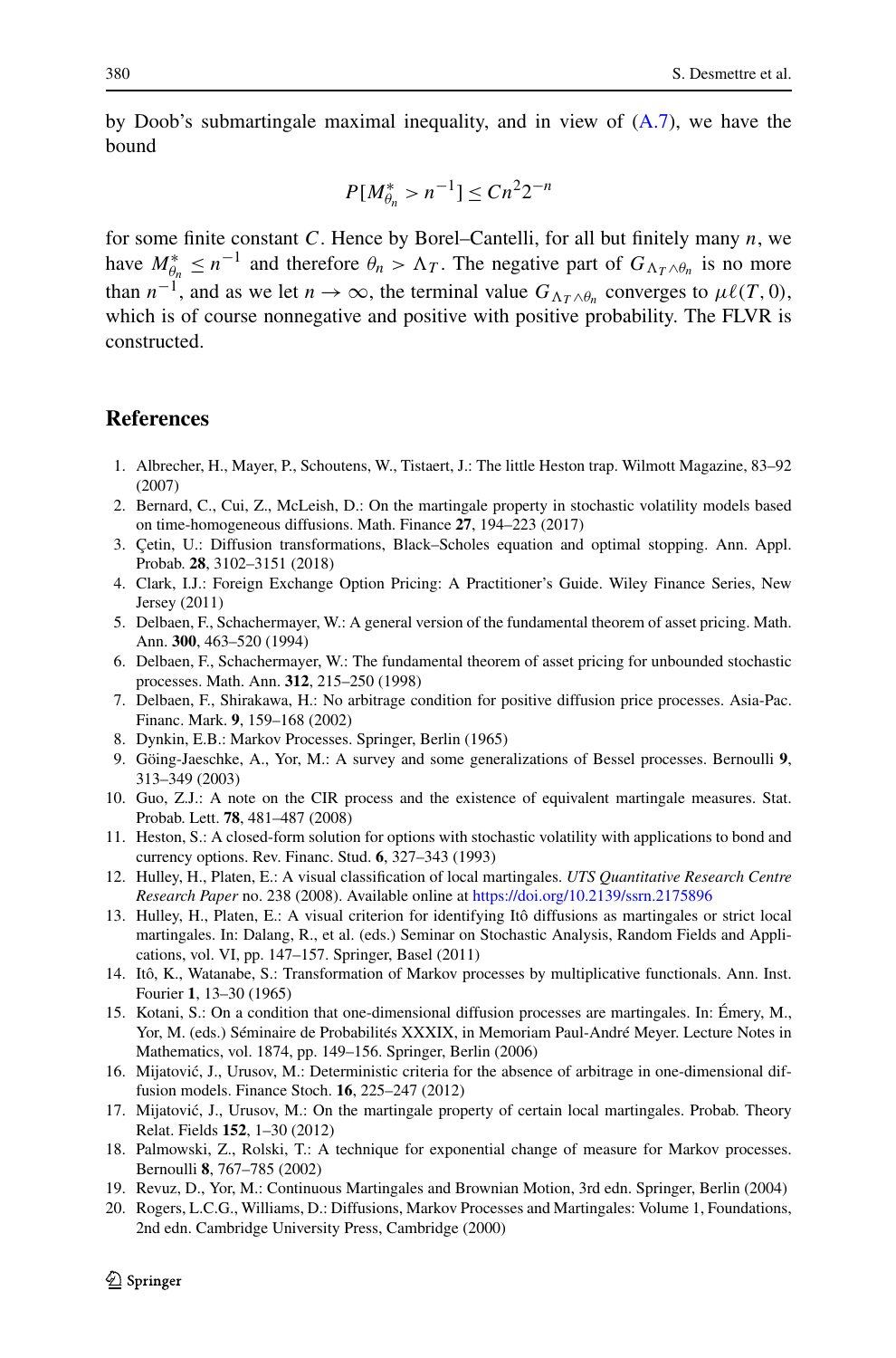<span id="page-21-0"></span>by Doob's submartingale maximal inequality, and in view of  $(A.7)$  $(A.7)$ , we have the bound

$$
P[M_{\theta_n}^* > n^{-1}] \le Cn^2 2^{-n}
$$

for some finite constant *C*. Hence by Borel–Cantelli, for all but finitely many *n*, we have  $M_{\theta_n}^* \leq n^{-1}$  and therefore  $\theta_n > \Lambda_T$ . The negative part of  $G_{\Lambda_T \wedge \theta_n}$  is no more than  $n^{-1}$ , and as we let  $n \to \infty$ , the terminal value  $G_{\Lambda_T \wedge \theta_n}$  converges to  $\mu\ell(T,0)$ , which is of course nonnegative and positive with positive probability. The FLVR is constructed.

#### **References**

- 1. Albrecher, H., Mayer, P., Schoutens, W., Tistaert, J.: The little Heston trap. Wilmott Magazine, 83–92 (2007)
- 2. Bernard, C., Cui, Z., McLeish, D.: On the martingale property in stochastic volatility models based on time-homogeneous diffusions. Math. Finance **27**, 194–223 (2017)
- 3. Çetin, U.: Diffusion transformations, Black–Scholes equation and optimal stopping. Ann. Appl. Probab. **28**, 3102–3151 (2018)
- 4. Clark, I.J.: Foreign Exchange Option Pricing: A Practitioner's Guide. Wiley Finance Series, New Jersey (2011)
- 5. Delbaen, F., Schachermayer, W.: A general version of the fundamental theorem of asset pricing. Math. Ann. **300**, 463–520 (1994)
- 6. Delbaen, F., Schachermayer, W.: The fundamental theorem of asset pricing for unbounded stochastic processes. Math. Ann. **312**, 215–250 (1998)
- 7. Delbaen, F., Shirakawa, H.: No arbitrage condition for positive diffusion price processes. Asia-Pac. Financ. Mark. **9**, 159–168 (2002)
- 8. Dynkin, E.B.: Markov Processes. Springer, Berlin (1965)
- 9. Göing-Jaeschke, A., Yor, M.: A survey and some generalizations of Bessel processes. Bernoulli **9**, 313–349 (2003)
- 10. Guo, Z.J.: A note on the CIR process and the existence of equivalent martingale measures. Stat. Probab. Lett. **78**, 481–487 (2008)
- 11. Heston, S.: A closed-form solution for options with stochastic volatility with applications to bond and currency options. Rev. Financ. Stud. **6**, 327–343 (1993)
- 12. Hulley, H., Platen, E.: A visual classification of local martingales. *UTS Quantitative Research Centre Research Paper* no. 238 (2008). Available online at <https://doi.org/10.2139/ssrn.2175896>
- 13. Hulley, H., Platen, E.: A visual criterion for identifying Itô diffusions as martingales or strict local martingales. In: Dalang, R., et al. (eds.) Seminar on Stochastic Analysis, Random Fields and Applications, vol. VI, pp. 147–157. Springer, Basel (2011)
- 14. Itô, K., Watanabe, S.: Transformation of Markov processes by multiplicative functionals. Ann. Inst. Fourier **1**, 13–30 (1965)
- 15. Kotani, S.: On a condition that one-dimensional diffusion processes are martingales. In: Émery, M., Yor, M. (eds.) Séminaire de Probabilités XXXIX, in Memoriam Paul-André Meyer. Lecture Notes in Mathematics, vol. 1874, pp. 149–156. Springer, Berlin (2006)
- 16. Mijatovic, J., Urusov, M.: Deterministic criteria for the absence of arbitrage in one-dimensional dif- ´ fusion models. Finance Stoch. **16**, 225–247 (2012)
- 17. Mijatović, J., Urusov, M.: On the martingale property of certain local martingales. Probab. Theory Relat. Fields **152**, 1–30 (2012)
- 18. Palmowski, Z., Rolski, T.: A technique for exponential change of measure for Markov processes. Bernoulli **8**, 767–785 (2002)
- 19. Revuz, D., Yor, M.: Continuous Martingales and Brownian Motion, 3rd edn. Springer, Berlin (2004)
- 20. Rogers, L.C.G., Williams, D.: Diffusions, Markov Processes and Martingales: Volume 1, Foundations, 2nd edn. Cambridge University Press, Cambridge (2000)